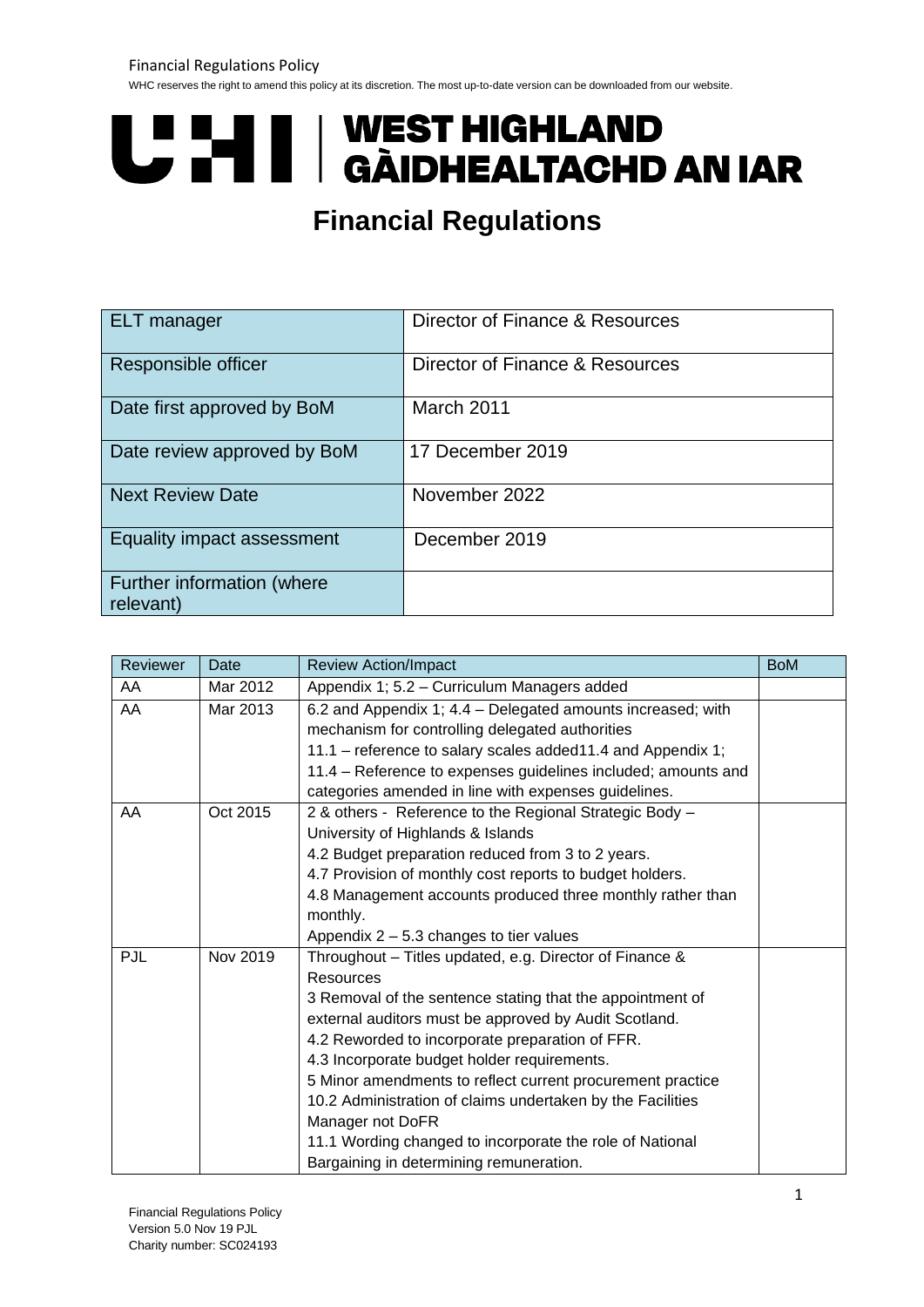WHC reserves the right to amend this policy at its discretion. The most up-to-date version can be downloaded from our website.

# **UPINI | WEST HIGHLAND<br>UPINI | GÀIDHEALTACHD AN IAR**

## **Financial Regulations**

| <b>ELT</b> manager                      | Director of Finance & Resources |
|-----------------------------------------|---------------------------------|
| Responsible officer                     | Director of Finance & Resources |
| Date first approved by BoM              | March 2011                      |
| Date review approved by BoM             | 17 December 2019                |
| <b>Next Review Date</b>                 | November 2022                   |
| Equality impact assessment              | December 2019                   |
| Further information (where<br>relevant) |                                 |

| Reviewer | Date     | <b>Review Action/Impact</b>                                   |  |
|----------|----------|---------------------------------------------------------------|--|
| AA       | Mar 2012 | Appendix 1; 5.2 - Curriculum Managers added                   |  |
| AA       | Mar 2013 | 6.2 and Appendix 1; 4.4 – Delegated amounts increased; with   |  |
|          |          | mechanism for controlling delegated authorities               |  |
|          |          | 11.1 – reference to salary scales added11.4 and Appendix 1;   |  |
|          |          | 11.4 - Reference to expenses guidelines included; amounts and |  |
|          |          | categories amended in line with expenses guidelines.          |  |
| AA       | Oct 2015 | 2 & others - Reference to the Regional Strategic Body -       |  |
|          |          | University of Highlands & Islands                             |  |
|          |          | 4.2 Budget preparation reduced from 3 to 2 years.             |  |
|          |          | 4.7 Provision of monthly cost reports to budget holders.      |  |
|          |          | 4.8 Management accounts produced three monthly rather than    |  |
|          |          | monthly.                                                      |  |
|          |          | Appendix $2 - 5.3$ changes to tier values                     |  |
| PJL      | Nov 2019 | Throughout - Titles updated, e.g. Director of Finance &       |  |
|          |          | Resources                                                     |  |
|          |          | 3 Removal of the sentence stating that the appointment of     |  |
|          |          | external auditors must be approved by Audit Scotland.         |  |
|          |          | 4.2 Reworded to incorporate preparation of FFR.               |  |
|          |          | 4.3 Incorporate budget holder requirements.                   |  |
|          |          | 5 Minor amendments to reflect current procurement practice    |  |
|          |          | 10.2 Administration of claims undertaken by the Facilities    |  |
|          |          | Manager not DoFR                                              |  |
|          |          | 11.1 Wording changed to incorporate the role of National      |  |
|          |          | Bargaining in determining remuneration.                       |  |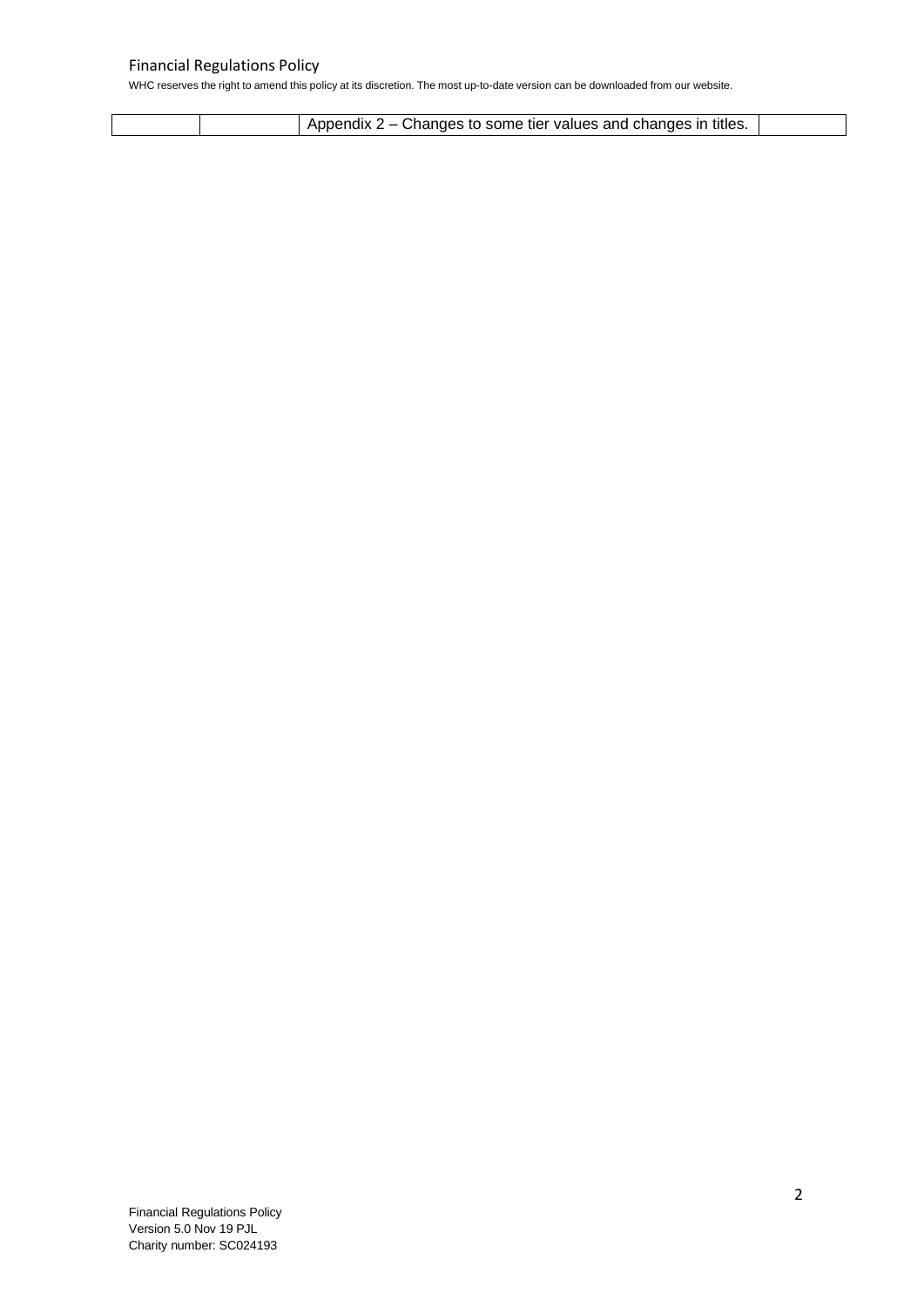|  | Appendix 2 – Changes to some tier values and changes in titles. |  |
|--|-----------------------------------------------------------------|--|
|  |                                                                 |  |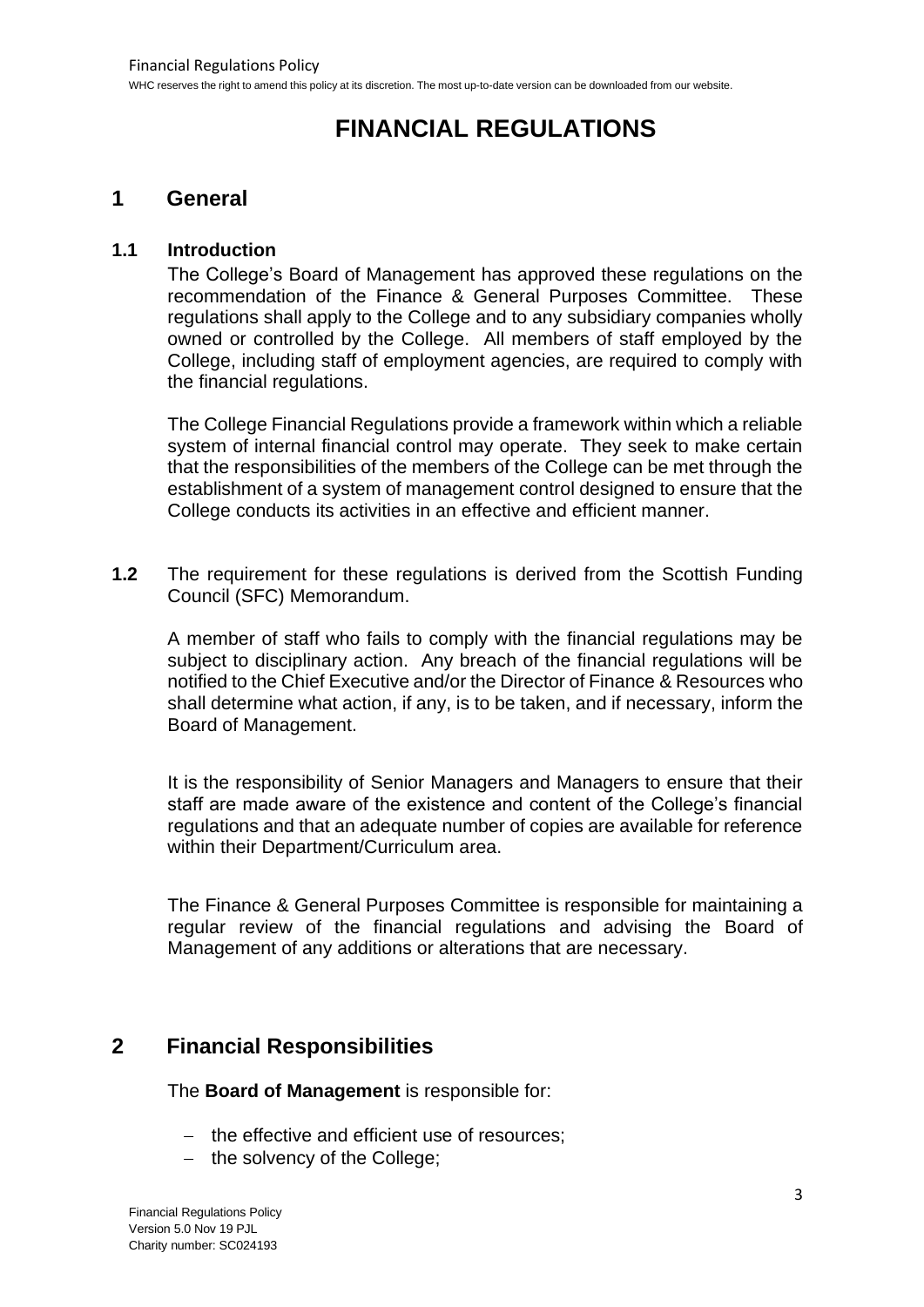## **FINANCIAL REGULATIONS**

## **1 General**

## **1.1 Introduction**

The College's Board of Management has approved these regulations on the recommendation of the Finance & General Purposes Committee. These regulations shall apply to the College and to any subsidiary companies wholly owned or controlled by the College. All members of staff employed by the College, including staff of employment agencies, are required to comply with the financial regulations.

The College Financial Regulations provide a framework within which a reliable system of internal financial control may operate. They seek to make certain that the responsibilities of the members of the College can be met through the establishment of a system of management control designed to ensure that the College conducts its activities in an effective and efficient manner.

**1.2** The requirement for these regulations is derived from the Scottish Funding Council (SFC) Memorandum.

A member of staff who fails to comply with the financial regulations may be subject to disciplinary action. Any breach of the financial regulations will be notified to the Chief Executive and/or the Director of Finance & Resources who shall determine what action, if any, is to be taken, and if necessary, inform the Board of Management.

It is the responsibility of Senior Managers and Managers to ensure that their staff are made aware of the existence and content of the College's financial regulations and that an adequate number of copies are available for reference within their Department/Curriculum area.

The Finance & General Purposes Committee is responsible for maintaining a regular review of the financial regulations and advising the Board of Management of any additions or alterations that are necessary.

## **2 Financial Responsibilities**

The **Board of Management** is responsible for:

- − the effective and efficient use of resources;
- − the solvency of the College;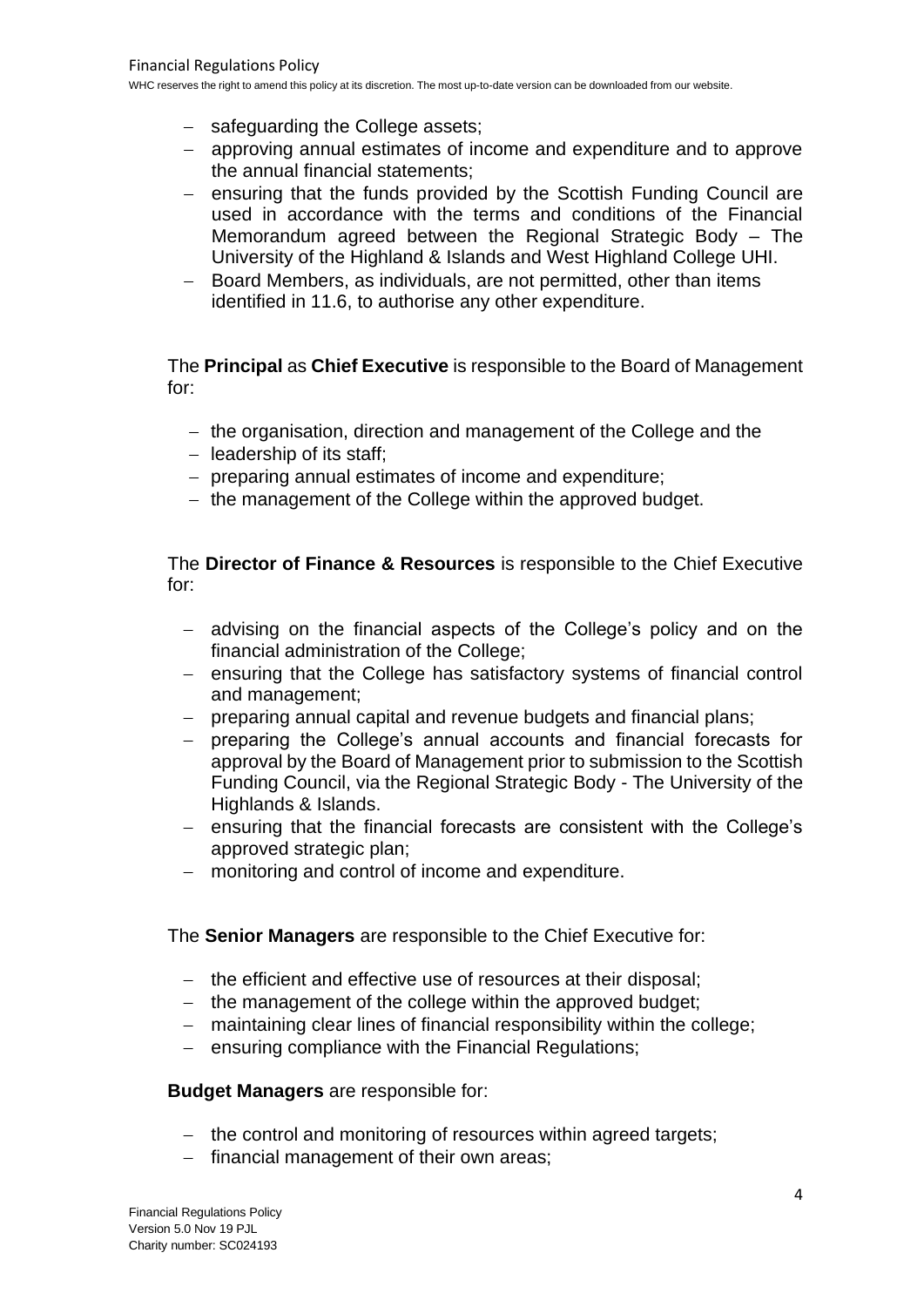- − safeguarding the College assets;
- − approving annual estimates of income and expenditure and to approve the annual financial statements;
- − ensuring that the funds provided by the Scottish Funding Council are used in accordance with the terms and conditions of the Financial Memorandum agreed between the Regional Strategic Body – The University of the Highland & Islands and West Highland College UHI.
- Board Members, as individuals, are not permitted, other than items identified in 11.6, to authorise any other expenditure.

The **Principal** as **Chief Executive** is responsible to the Board of Management for:

- − the organisation, direction and management of the College and the
- − leadership of its staff;
- − preparing annual estimates of income and expenditure;
- − the management of the College within the approved budget.

The **Director of Finance & Resources** is responsible to the Chief Executive for:

- − advising on the financial aspects of the College's policy and on the financial administration of the College;
- − ensuring that the College has satisfactory systems of financial control and management;
- − preparing annual capital and revenue budgets and financial plans;
- − preparing the College's annual accounts and financial forecasts for approval by the Board of Management prior to submission to the Scottish Funding Council, via the Regional Strategic Body - The University of the Highlands & Islands.
- − ensuring that the financial forecasts are consistent with the College's approved strategic plan;
- − monitoring and control of income and expenditure.

## The **Senior Managers** are responsible to the Chief Executive for:

- − the efficient and effective use of resources at their disposal;
- − the management of the college within the approved budget;
- − maintaining clear lines of financial responsibility within the college;
- − ensuring compliance with the Financial Regulations;

## **Budget Managers** are responsible for:

- − the control and monitoring of resources within agreed targets;
- − financial management of their own areas;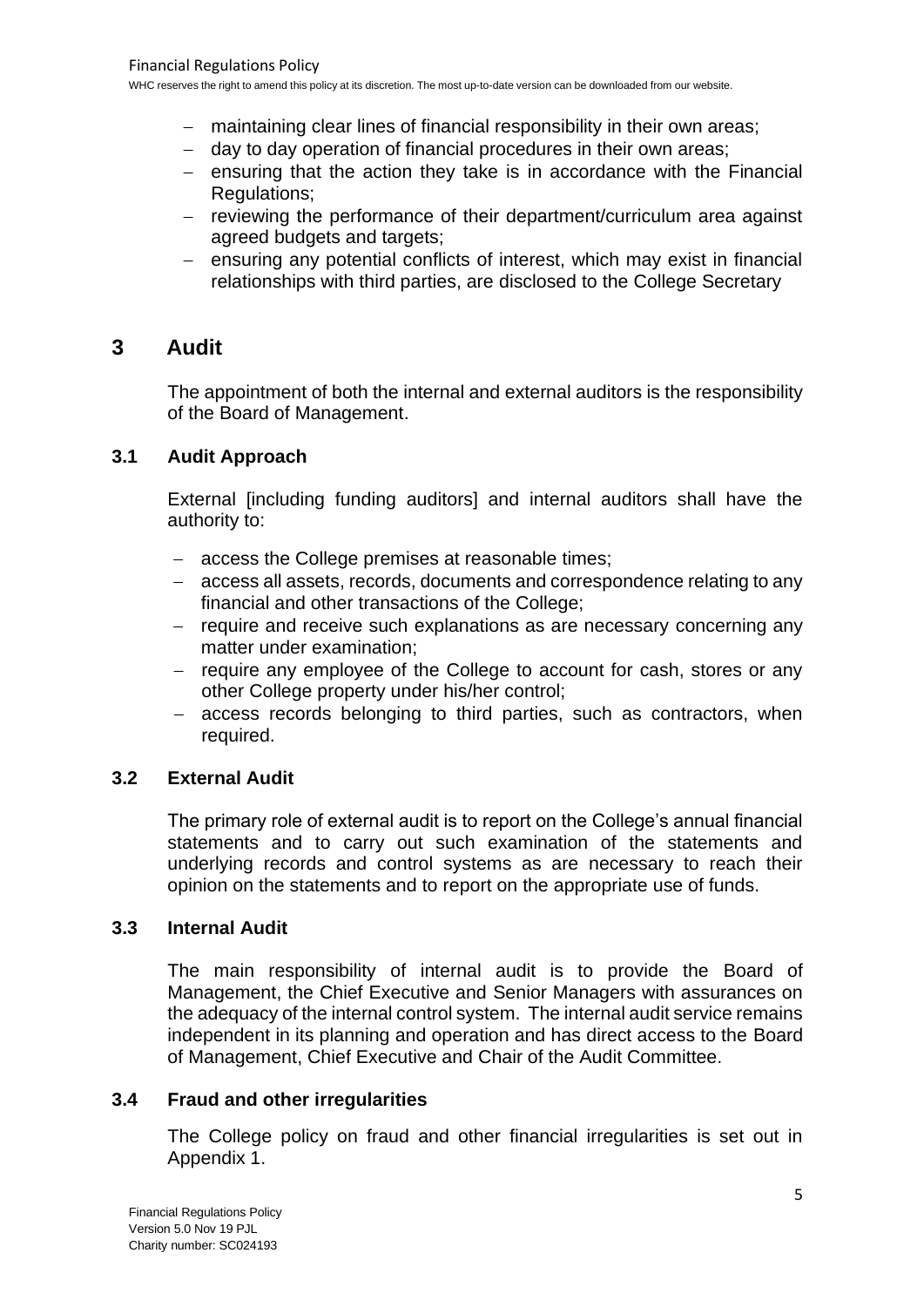- − maintaining clear lines of financial responsibility in their own areas;
- − day to day operation of financial procedures in their own areas;
- − ensuring that the action they take is in accordance with the Financial Regulations;
- − reviewing the performance of their department/curriculum area against agreed budgets and targets;
- − ensuring any potential conflicts of interest, which may exist in financial relationships with third parties, are disclosed to the College Secretary

## **3 Audit**

The appointment of both the internal and external auditors is the responsibility of the Board of Management.

## **3.1 Audit Approach**

External [including funding auditors] and internal auditors shall have the authority to:

- − access the College premises at reasonable times;
- − access all assets, records, documents and correspondence relating to any financial and other transactions of the College;
- − require and receive such explanations as are necessary concerning any matter under examination;
- − require any employee of the College to account for cash, stores or any other College property under his/her control;
- − access records belonging to third parties, such as contractors, when required.

## **3.2 External Audit**

The primary role of external audit is to report on the College's annual financial statements and to carry out such examination of the statements and underlying records and control systems as are necessary to reach their opinion on the statements and to report on the appropriate use of funds.

## **3.3 Internal Audit**

The main responsibility of internal audit is to provide the Board of Management, the Chief Executive and Senior Managers with assurances on the adequacy of the internal control system. The internal audit service remains independent in its planning and operation and has direct access to the Board of Management, Chief Executive and Chair of the Audit Committee.

## **3.4 Fraud and other irregularities**

The College policy on fraud and other financial irregularities is set out in Appendix 1.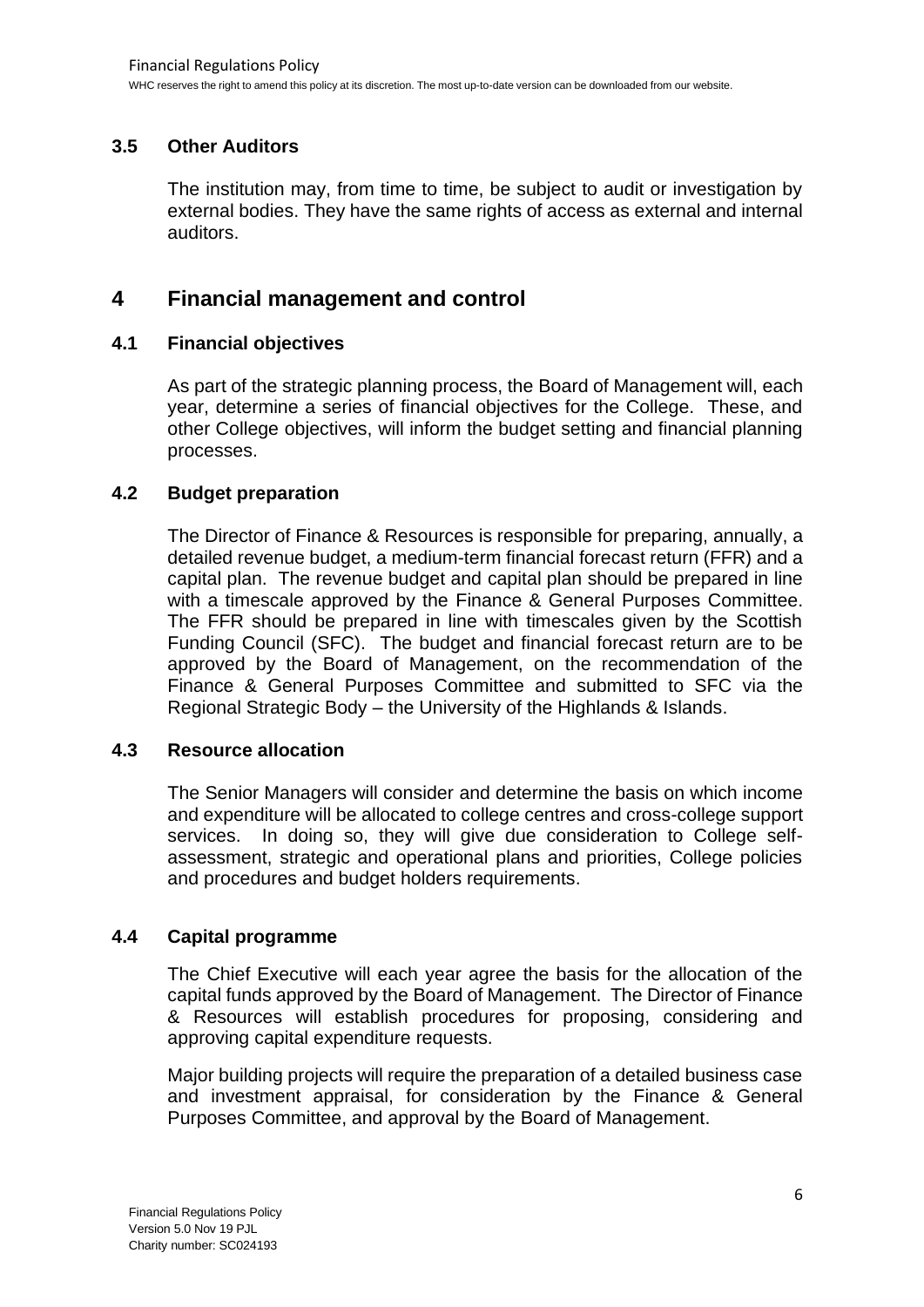## **3.5 Other Auditors**

The institution may, from time to time, be subject to audit or investigation by external bodies. They have the same rights of access as external and internal auditors.

## **4 Financial management and control**

## **4.1 Financial objectives**

As part of the strategic planning process, the Board of Management will, each year, determine a series of financial objectives for the College. These, and other College objectives, will inform the budget setting and financial planning processes.

## **4.2 Budget preparation**

The Director of Finance & Resources is responsible for preparing, annually, a detailed revenue budget, a medium-term financial forecast return (FFR) and a capital plan. The revenue budget and capital plan should be prepared in line with a timescale approved by the Finance & General Purposes Committee. The FFR should be prepared in line with timescales given by the Scottish Funding Council (SFC). The budget and financial forecast return are to be approved by the Board of Management, on the recommendation of the Finance & General Purposes Committee and submitted to SFC via the Regional Strategic Body – the University of the Highlands & Islands.

## **4.3 Resource allocation**

The Senior Managers will consider and determine the basis on which income and expenditure will be allocated to college centres and cross-college support services. In doing so, they will give due consideration to College selfassessment, strategic and operational plans and priorities, College policies and procedures and budget holders requirements.

## **4.4 Capital programme**

The Chief Executive will each year agree the basis for the allocation of the capital funds approved by the Board of Management. The Director of Finance & Resources will establish procedures for proposing, considering and approving capital expenditure requests.

Major building projects will require the preparation of a detailed business case and investment appraisal, for consideration by the Finance & General Purposes Committee, and approval by the Board of Management.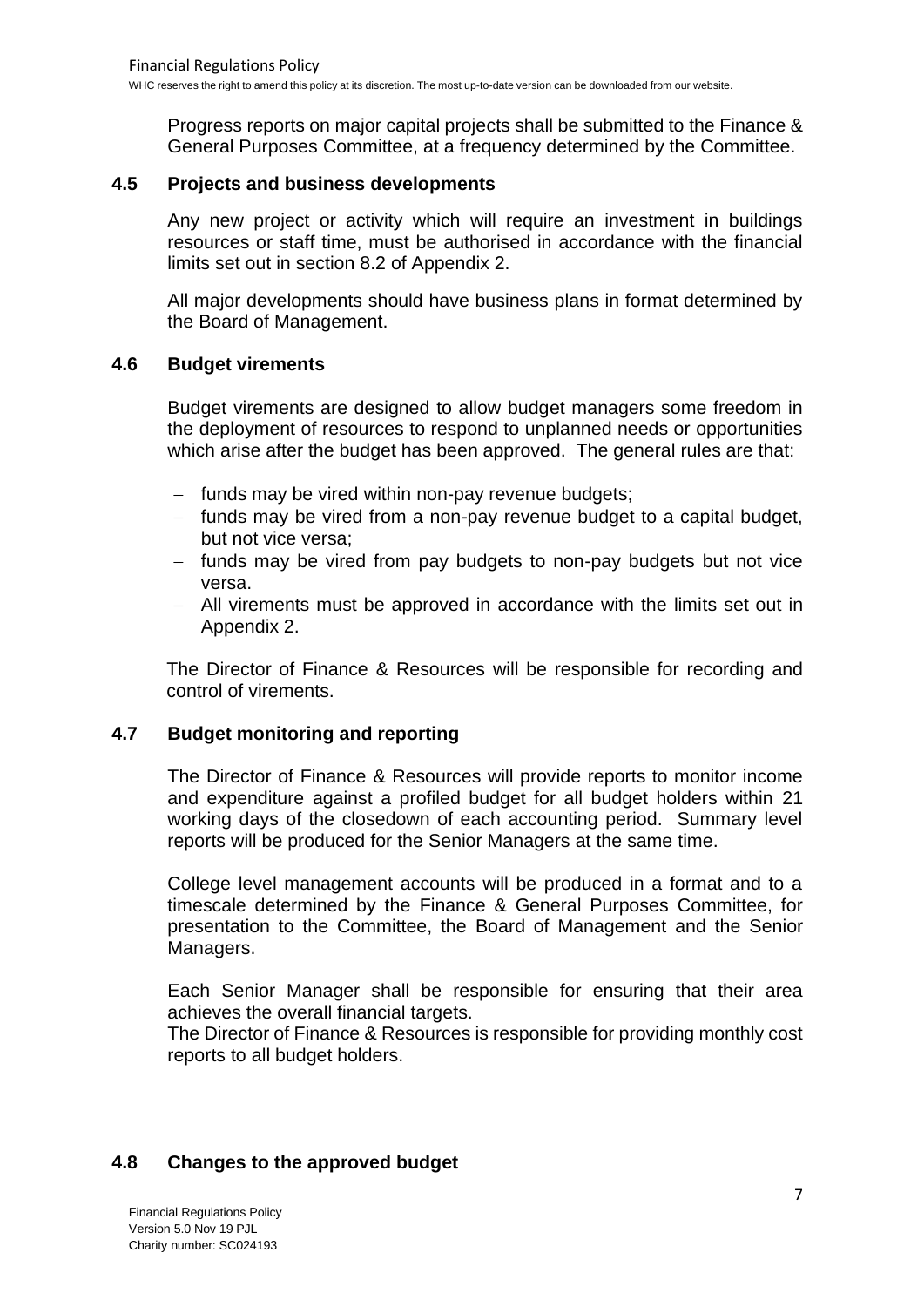Progress reports on major capital projects shall be submitted to the Finance & General Purposes Committee, at a frequency determined by the Committee.

## **4.5 Projects and business developments**

Any new project or activity which will require an investment in buildings resources or staff time, must be authorised in accordance with the financial limits set out in section 8.2 of Appendix 2.

All major developments should have business plans in format determined by the Board of Management.

## **4.6 Budget virements**

Budget virements are designed to allow budget managers some freedom in the deployment of resources to respond to unplanned needs or opportunities which arise after the budget has been approved. The general rules are that:

- − funds may be vired within non-pay revenue budgets;
- − funds may be vired from a non-pay revenue budget to a capital budget, but not vice versa;
- − funds may be vired from pay budgets to non-pay budgets but not vice versa.
- − All virements must be approved in accordance with the limits set out in Appendix 2.

The Director of Finance & Resources will be responsible for recording and control of virements.

## **4.7 Budget monitoring and reporting**

The Director of Finance & Resources will provide reports to monitor income and expenditure against a profiled budget for all budget holders within 21 working days of the closedown of each accounting period. Summary level reports will be produced for the Senior Managers at the same time.

College level management accounts will be produced in a format and to a timescale determined by the Finance & General Purposes Committee, for presentation to the Committee, the Board of Management and the Senior Managers.

Each Senior Manager shall be responsible for ensuring that their area achieves the overall financial targets.

The Director of Finance & Resources is responsible for providing monthly cost reports to all budget holders.

## **4.8 Changes to the approved budget**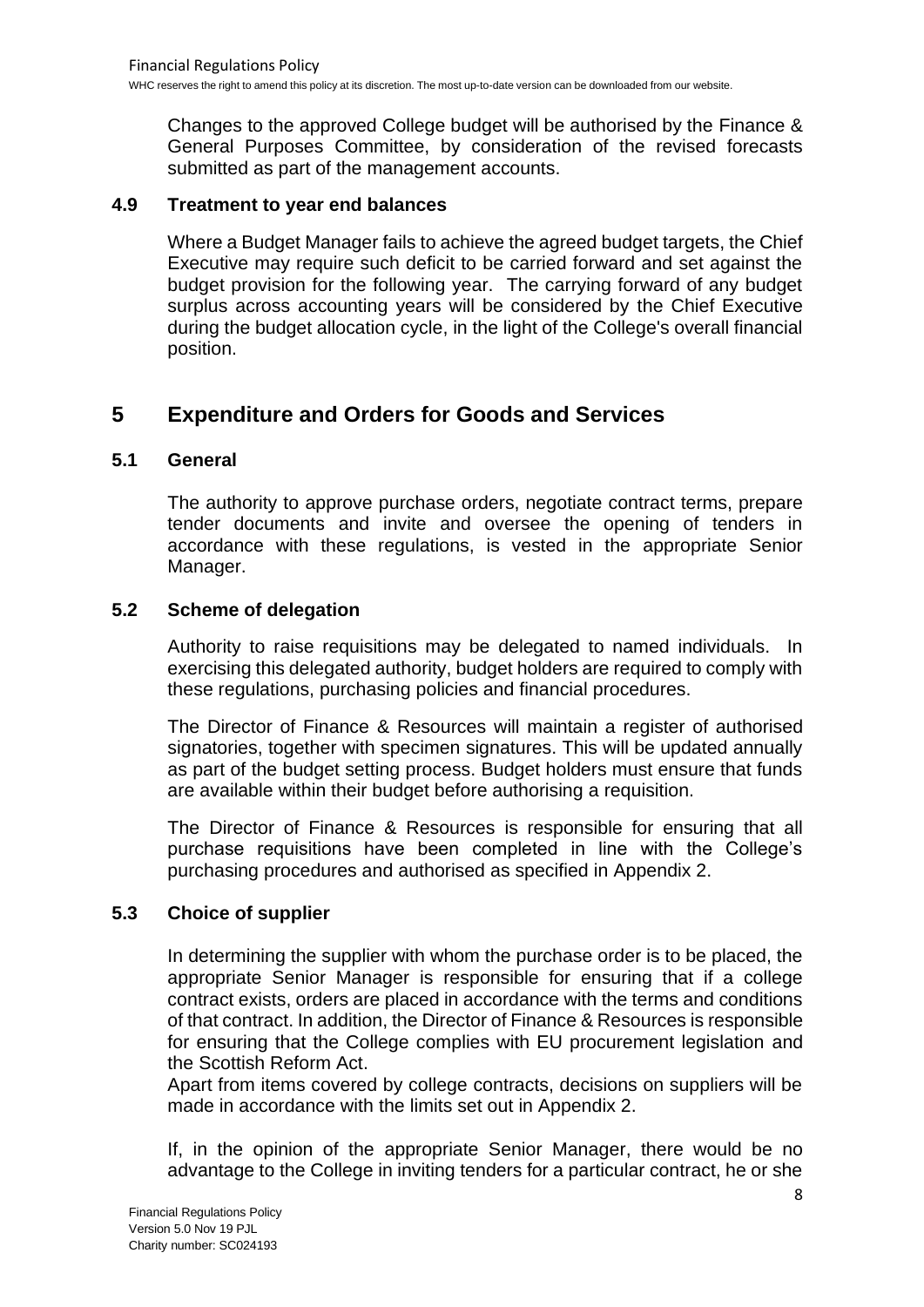Changes to the approved College budget will be authorised by the Finance & General Purposes Committee, by consideration of the revised forecasts submitted as part of the management accounts.

## **4.9 Treatment to year end balances**

Where a Budget Manager fails to achieve the agreed budget targets, the Chief Executive may require such deficit to be carried forward and set against the budget provision for the following year. The carrying forward of any budget surplus across accounting years will be considered by the Chief Executive during the budget allocation cycle, in the light of the College's overall financial position.

## **5 Expenditure and Orders for Goods and Services**

## **5.1 General**

The authority to approve purchase orders, negotiate contract terms, prepare tender documents and invite and oversee the opening of tenders in accordance with these regulations, is vested in the appropriate Senior Manager.

## **5.2 Scheme of delegation**

Authority to raise requisitions may be delegated to named individuals. In exercising this delegated authority, budget holders are required to comply with these regulations, purchasing policies and financial procedures.

The Director of Finance & Resources will maintain a register of authorised signatories, together with specimen signatures. This will be updated annually as part of the budget setting process. Budget holders must ensure that funds are available within their budget before authorising a requisition.

The Director of Finance & Resources is responsible for ensuring that all purchase requisitions have been completed in line with the College's purchasing procedures and authorised as specified in Appendix 2.

## **5.3 Choice of supplier**

In determining the supplier with whom the purchase order is to be placed, the appropriate Senior Manager is responsible for ensuring that if a college contract exists, orders are placed in accordance with the terms and conditions of that contract. In addition, the Director of Finance & Resources is responsible for ensuring that the College complies with EU procurement legislation and the Scottish Reform Act.

Apart from items covered by college contracts, decisions on suppliers will be made in accordance with the limits set out in Appendix 2.

If, in the opinion of the appropriate Senior Manager, there would be no advantage to the College in inviting tenders for a particular contract, he or she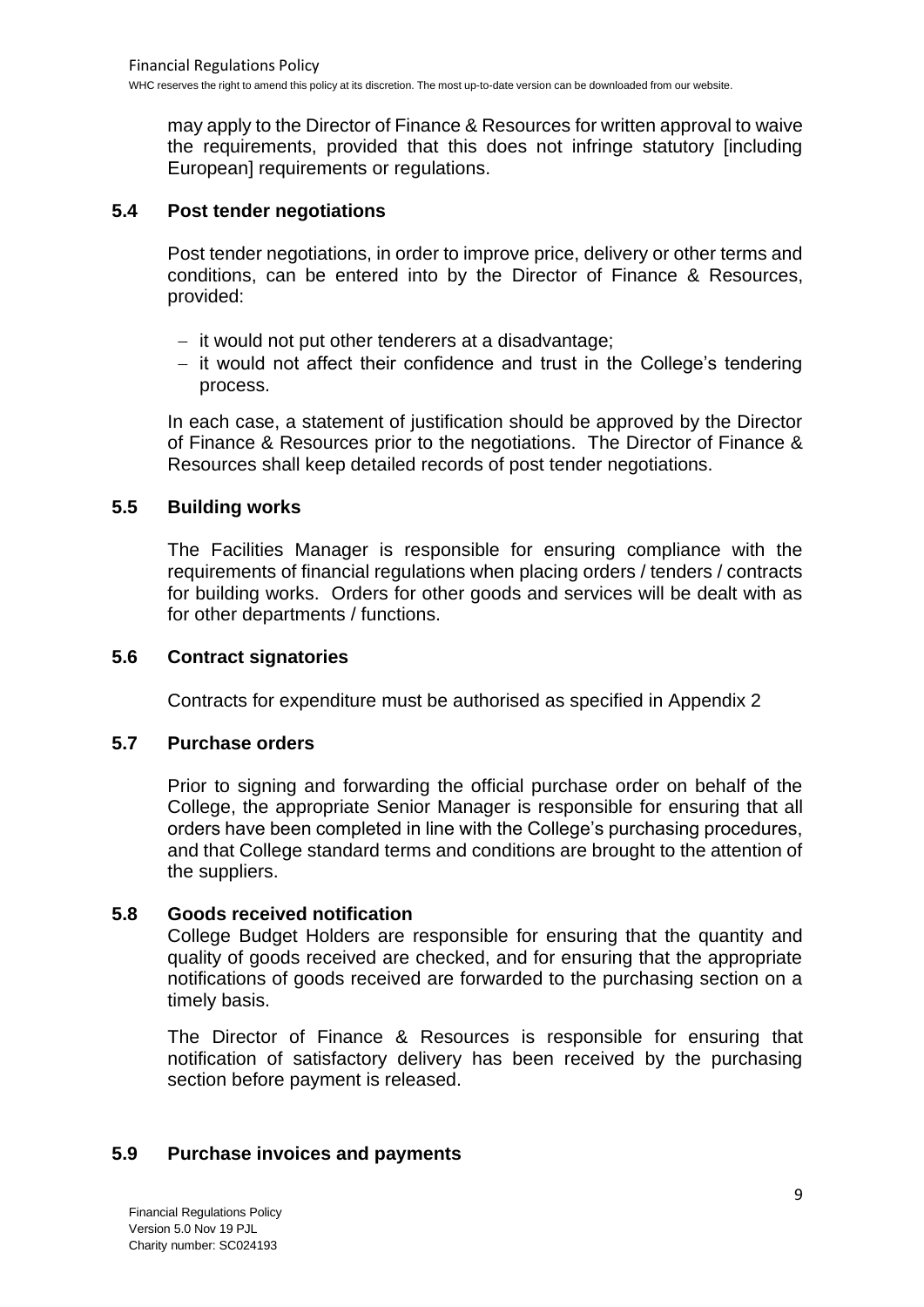may apply to the Director of Finance & Resources for written approval to waive the requirements, provided that this does not infringe statutory [including European] requirements or regulations.

## **5.4 Post tender negotiations**

Post tender negotiations, in order to improve price, delivery or other terms and conditions, can be entered into by the Director of Finance & Resources, provided:

- − it would not put other tenderers at a disadvantage;
- − it would not affect their confidence and trust in the College's tendering process.

In each case, a statement of justification should be approved by the Director of Finance & Resources prior to the negotiations. The Director of Finance & Resources shall keep detailed records of post tender negotiations.

## **5.5 Building works**

The Facilities Manager is responsible for ensuring compliance with the requirements of financial regulations when placing orders / tenders / contracts for building works. Orders for other goods and services will be dealt with as for other departments / functions.

## **5.6 Contract signatories**

Contracts for expenditure must be authorised as specified in Appendix 2

## **5.7 Purchase orders**

Prior to signing and forwarding the official purchase order on behalf of the College, the appropriate Senior Manager is responsible for ensuring that all orders have been completed in line with the College's purchasing procedures, and that College standard terms and conditions are brought to the attention of the suppliers.

## **5.8 Goods received notification**

College Budget Holders are responsible for ensuring that the quantity and quality of goods received are checked, and for ensuring that the appropriate notifications of goods received are forwarded to the purchasing section on a timely basis.

The Director of Finance & Resources is responsible for ensuring that notification of satisfactory delivery has been received by the purchasing section before payment is released.

## **5.9 Purchase invoices and payments**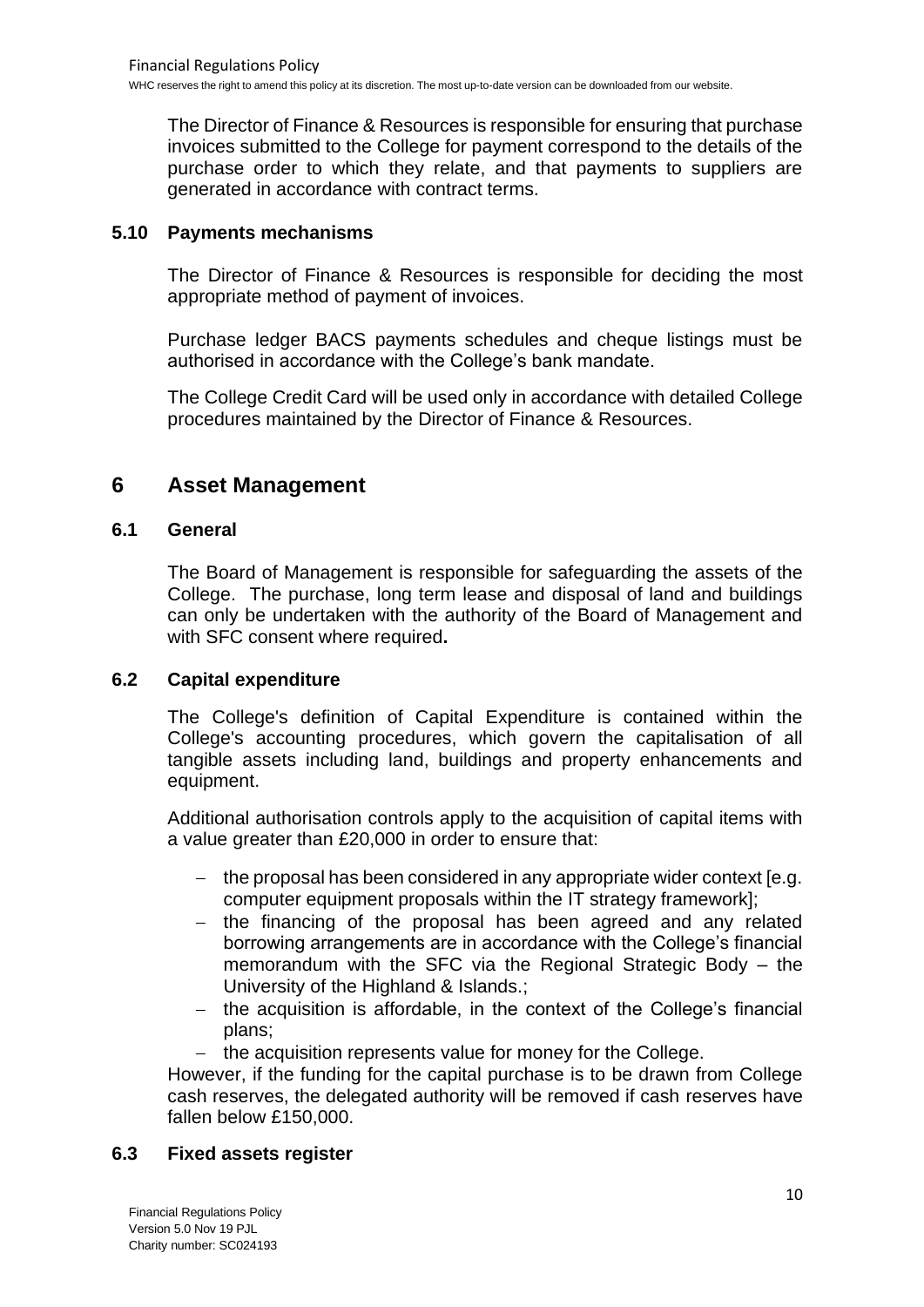The Director of Finance & Resources is responsible for ensuring that purchase invoices submitted to the College for payment correspond to the details of the purchase order to which they relate, and that payments to suppliers are generated in accordance with contract terms.

## **5.10 Payments mechanisms**

The Director of Finance & Resources is responsible for deciding the most appropriate method of payment of invoices.

Purchase ledger BACS payments schedules and cheque listings must be authorised in accordance with the College's bank mandate.

The College Credit Card will be used only in accordance with detailed College procedures maintained by the Director of Finance & Resources.

## **6 Asset Management**

## **6.1 General**

The Board of Management is responsible for safeguarding the assets of the College. The purchase, long term lease and disposal of land and buildings can only be undertaken with the authority of the Board of Management and with SFC consent where required**.**

## **6.2 Capital expenditure**

The College's definition of Capital Expenditure is contained within the College's accounting procedures, which govern the capitalisation of all tangible assets including land, buildings and property enhancements and equipment.

Additional authorisation controls apply to the acquisition of capital items with a value greater than £20,000 in order to ensure that:

- − the proposal has been considered in any appropriate wider context [e.g. computer equipment proposals within the IT strategy framework];
- − the financing of the proposal has been agreed and any related borrowing arrangements are in accordance with the College's financial memorandum with the SFC via the Regional Strategic Body – the University of the Highland & Islands.;
- − the acquisition is affordable, in the context of the College's financial plans;
- − the acquisition represents value for money for the College.

However, if the funding for the capital purchase is to be drawn from College cash reserves, the delegated authority will be removed if cash reserves have fallen below £150,000.

## **6.3 Fixed assets register**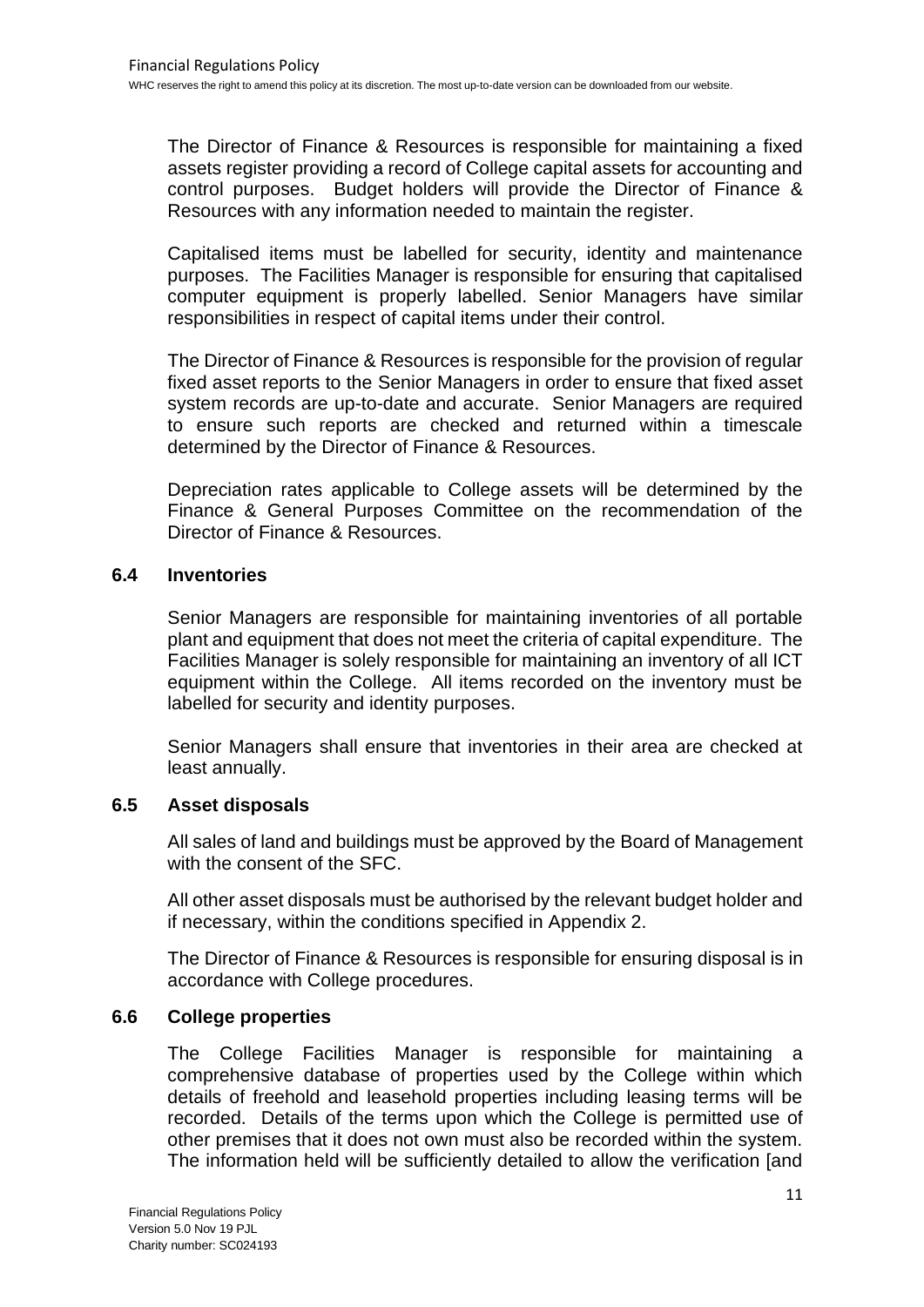The Director of Finance & Resources is responsible for maintaining a fixed assets register providing a record of College capital assets for accounting and control purposes. Budget holders will provide the Director of Finance & Resources with any information needed to maintain the register.

Capitalised items must be labelled for security, identity and maintenance purposes. The Facilities Manager is responsible for ensuring that capitalised computer equipment is properly labelled. Senior Managers have similar responsibilities in respect of capital items under their control.

The Director of Finance & Resources is responsible for the provision of regular fixed asset reports to the Senior Managers in order to ensure that fixed asset system records are up-to-date and accurate. Senior Managers are required to ensure such reports are checked and returned within a timescale determined by the Director of Finance & Resources.

Depreciation rates applicable to College assets will be determined by the Finance & General Purposes Committee on the recommendation of the Director of Finance & Resources.

## **6.4 Inventories**

Senior Managers are responsible for maintaining inventories of all portable plant and equipment that does not meet the criteria of capital expenditure. The Facilities Manager is solely responsible for maintaining an inventory of all ICT equipment within the College. All items recorded on the inventory must be labelled for security and identity purposes.

Senior Managers shall ensure that inventories in their area are checked at least annually.

## **6.5 Asset disposals**

All sales of land and buildings must be approved by the Board of Management with the consent of the SFC.

All other asset disposals must be authorised by the relevant budget holder and if necessary, within the conditions specified in Appendix 2.

The Director of Finance & Resources is responsible for ensuring disposal is in accordance with College procedures.

## **6.6 College properties**

The College Facilities Manager is responsible for maintaining a comprehensive database of properties used by the College within which details of freehold and leasehold properties including leasing terms will be recorded. Details of the terms upon which the College is permitted use of other premises that it does not own must also be recorded within the system. The information held will be sufficiently detailed to allow the verification [and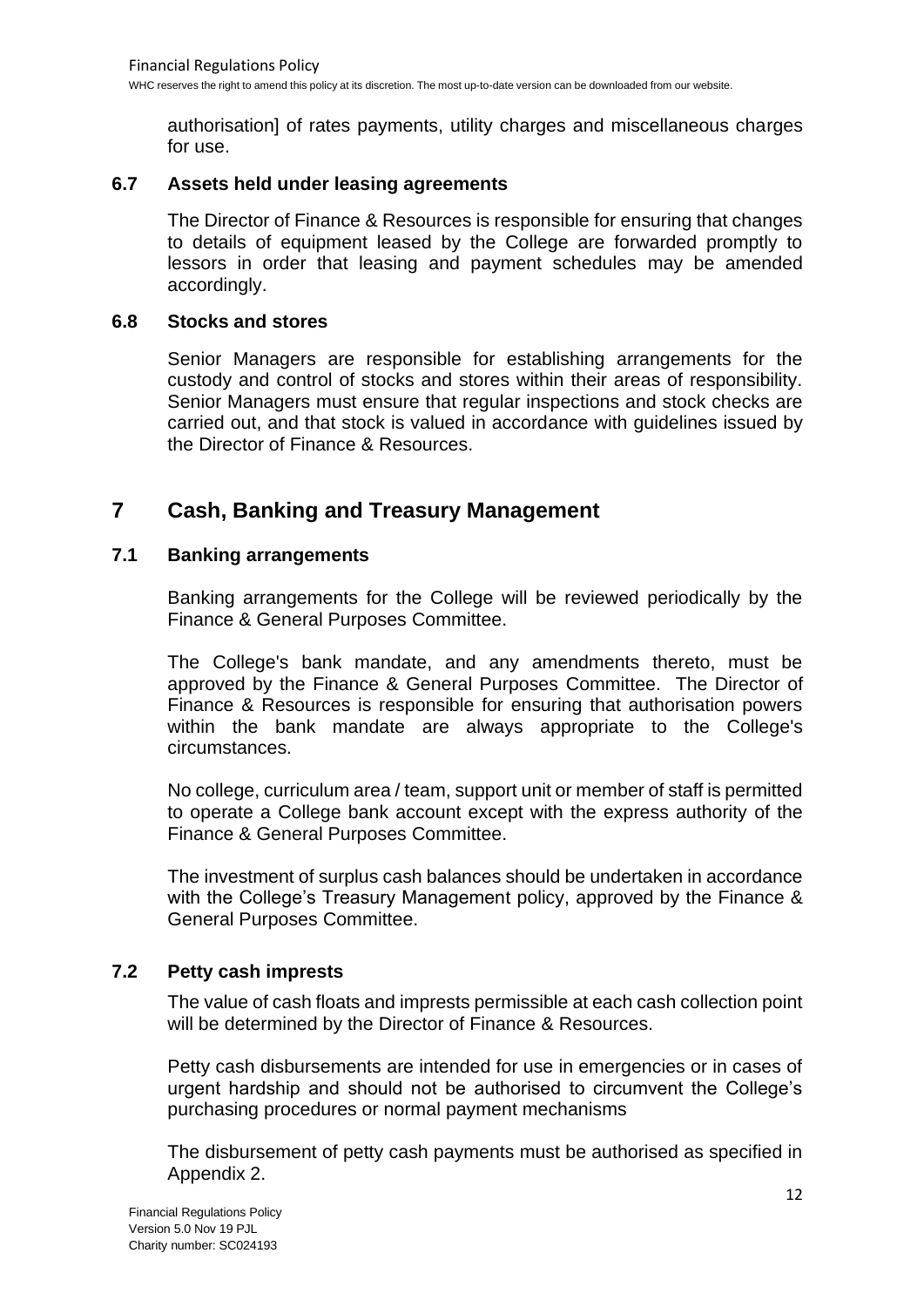authorisation] of rates payments, utility charges and miscellaneous charges for use.

## **6.7 Assets held under leasing agreements**

The Director of Finance & Resources is responsible for ensuring that changes to details of equipment leased by the College are forwarded promptly to lessors in order that leasing and payment schedules may be amended accordingly.

#### **6.8 Stocks and stores**

Senior Managers are responsible for establishing arrangements for the custody and control of stocks and stores within their areas of responsibility. Senior Managers must ensure that regular inspections and stock checks are carried out, and that stock is valued in accordance with guidelines issued by the Director of Finance & Resources.

## **7 Cash, Banking and Treasury Management**

## **7.1 Banking arrangements**

Banking arrangements for the College will be reviewed periodically by the Finance & General Purposes Committee.

The College's bank mandate, and any amendments thereto, must be approved by the Finance & General Purposes Committee. The Director of Finance & Resources is responsible for ensuring that authorisation powers within the bank mandate are always appropriate to the College's circumstances.

No college, curriculum area / team, support unit or member of staff is permitted to operate a College bank account except with the express authority of the Finance & General Purposes Committee.

The investment of surplus cash balances should be undertaken in accordance with the College's Treasury Management policy, approved by the Finance & General Purposes Committee.

## **7.2 Petty cash imprests**

The value of cash floats and imprests permissible at each cash collection point will be determined by the Director of Finance & Resources.

Petty cash disbursements are intended for use in emergencies or in cases of urgent hardship and should not be authorised to circumvent the College's purchasing procedures or normal payment mechanisms

The disbursement of petty cash payments must be authorised as specified in Appendix 2.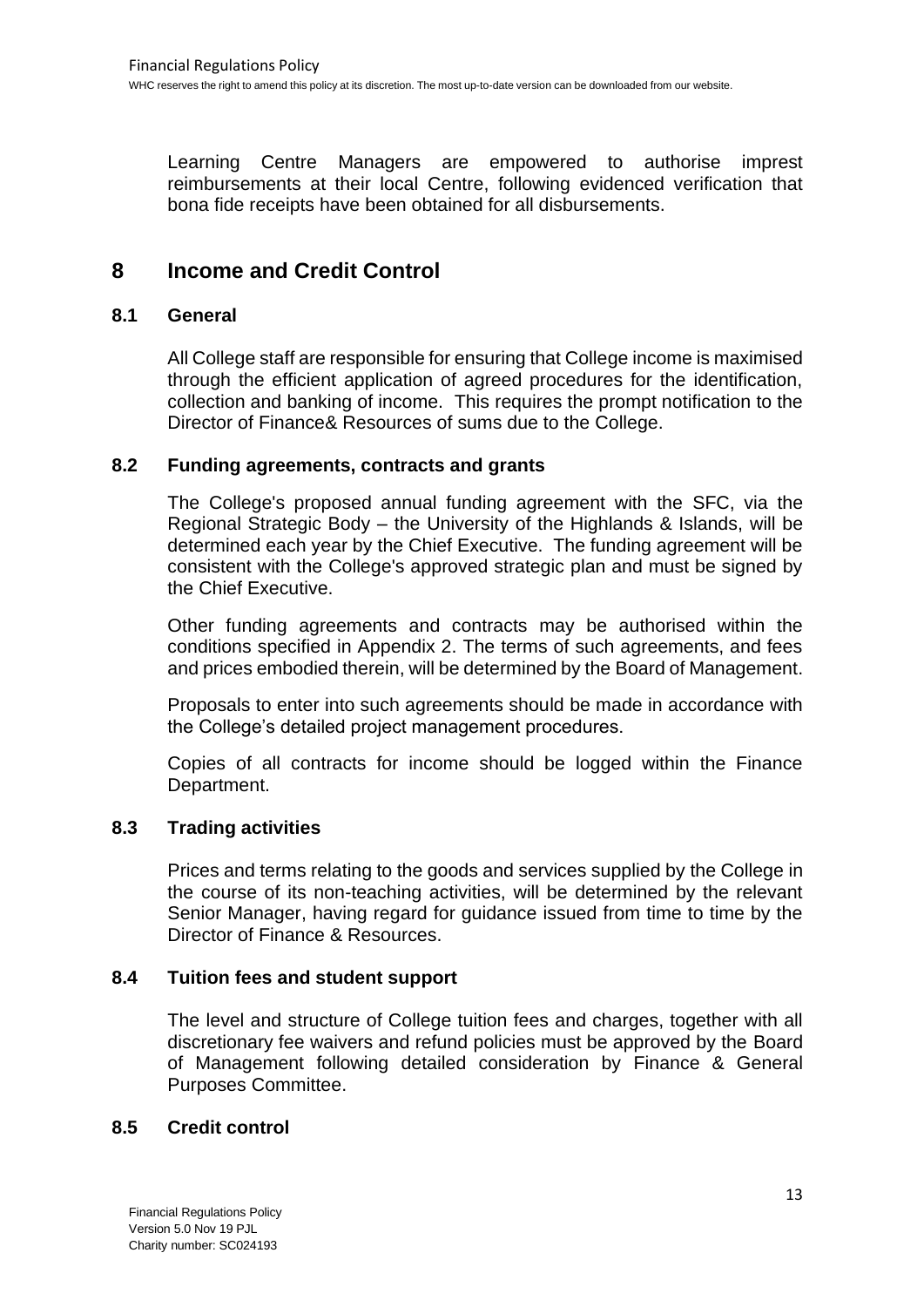Learning Centre Managers are empowered to authorise imprest reimbursements at their local Centre, following evidenced verification that bona fide receipts have been obtained for all disbursements.

## **8 Income and Credit Control**

## **8.1 General**

All College staff are responsible for ensuring that College income is maximised through the efficient application of agreed procedures for the identification, collection and banking of income. This requires the prompt notification to the Director of Finance& Resources of sums due to the College.

## **8.2 Funding agreements, contracts and grants**

The College's proposed annual funding agreement with the SFC, via the Regional Strategic Body – the University of the Highlands & Islands, will be determined each year by the Chief Executive. The funding agreement will be consistent with the College's approved strategic plan and must be signed by the Chief Executive.

Other funding agreements and contracts may be authorised within the conditions specified in Appendix 2. The terms of such agreements, and fees and prices embodied therein, will be determined by the Board of Management.

Proposals to enter into such agreements should be made in accordance with the College's detailed project management procedures.

Copies of all contracts for income should be logged within the Finance Department.

## **8.3 Trading activities**

Prices and terms relating to the goods and services supplied by the College in the course of its non-teaching activities, will be determined by the relevant Senior Manager, having regard for guidance issued from time to time by the Director of Finance & Resources.

## **8.4 Tuition fees and student support**

The level and structure of College tuition fees and charges, together with all discretionary fee waivers and refund policies must be approved by the Board of Management following detailed consideration by Finance & General Purposes Committee.

## **8.5 Credit control**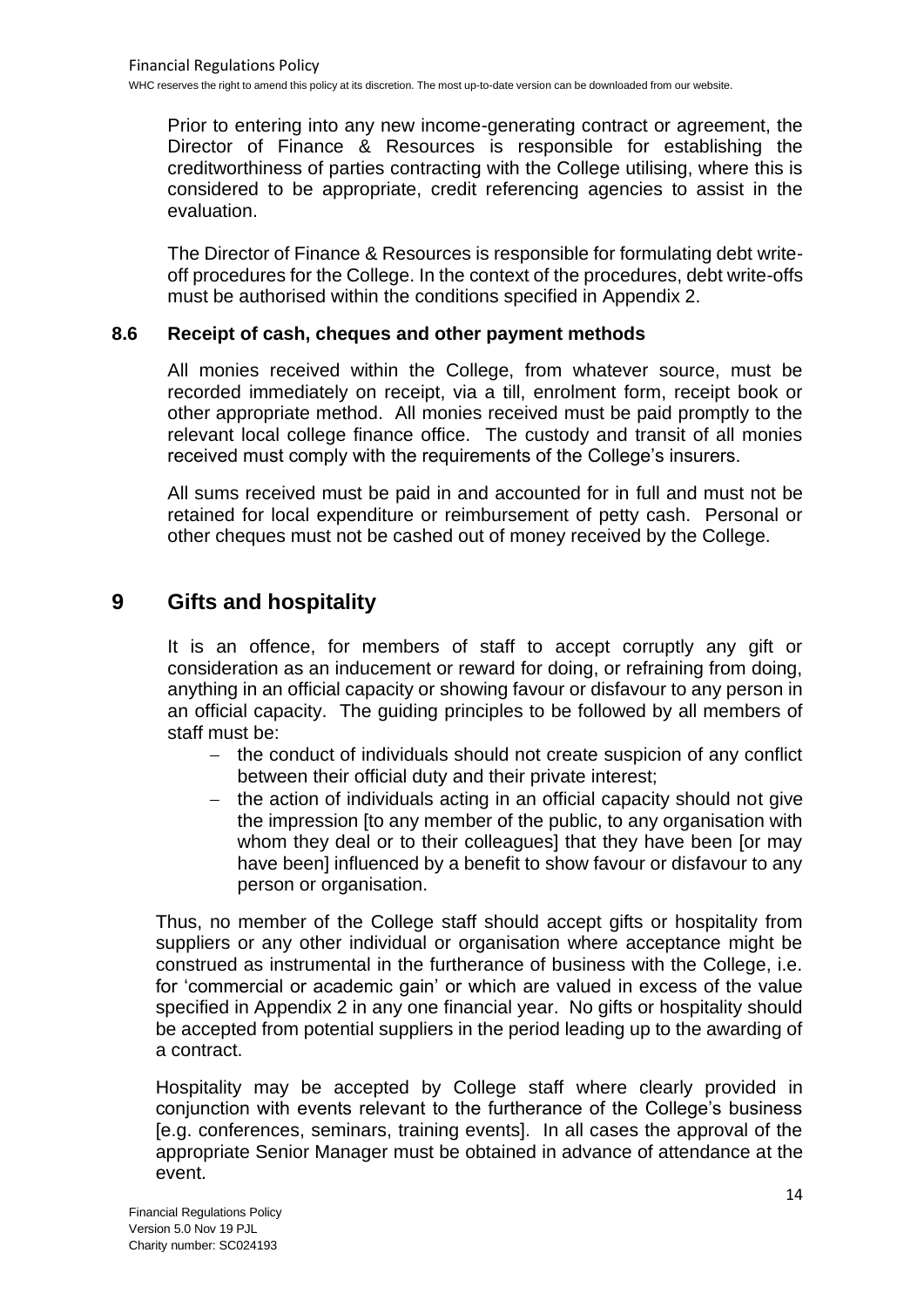Prior to entering into any new income-generating contract or agreement, the Director of Finance & Resources is responsible for establishing the creditworthiness of parties contracting with the College utilising, where this is considered to be appropriate, credit referencing agencies to assist in the evaluation.

The Director of Finance & Resources is responsible for formulating debt writeoff procedures for the College. In the context of the procedures, debt write-offs must be authorised within the conditions specified in Appendix 2.

## **8.6 Receipt of cash, cheques and other payment methods**

All monies received within the College, from whatever source, must be recorded immediately on receipt, via a till, enrolment form, receipt book or other appropriate method. All monies received must be paid promptly to the relevant local college finance office. The custody and transit of all monies received must comply with the requirements of the College's insurers.

All sums received must be paid in and accounted for in full and must not be retained for local expenditure or reimbursement of petty cash. Personal or other cheques must not be cashed out of money received by the College.

## **9 Gifts and hospitality**

It is an offence, for members of staff to accept corruptly any gift or consideration as an inducement or reward for doing, or refraining from doing, anything in an official capacity or showing favour or disfavour to any person in an official capacity. The guiding principles to be followed by all members of staff must be:

- − the conduct of individuals should not create suspicion of any conflict between their official duty and their private interest;
- the action of individuals acting in an official capacity should not give the impression [to any member of the public, to any organisation with whom they deal or to their colleagues] that they have been [or may have been] influenced by a benefit to show favour or disfavour to any person or organisation.

Thus, no member of the College staff should accept gifts or hospitality from suppliers or any other individual or organisation where acceptance might be construed as instrumental in the furtherance of business with the College, i.e. for 'commercial or academic gain' or which are valued in excess of the value specified in Appendix 2 in any one financial year. No gifts or hospitality should be accepted from potential suppliers in the period leading up to the awarding of a contract.

Hospitality may be accepted by College staff where clearly provided in conjunction with events relevant to the furtherance of the College's business [e.g. conferences, seminars, training events]. In all cases the approval of the appropriate Senior Manager must be obtained in advance of attendance at the event.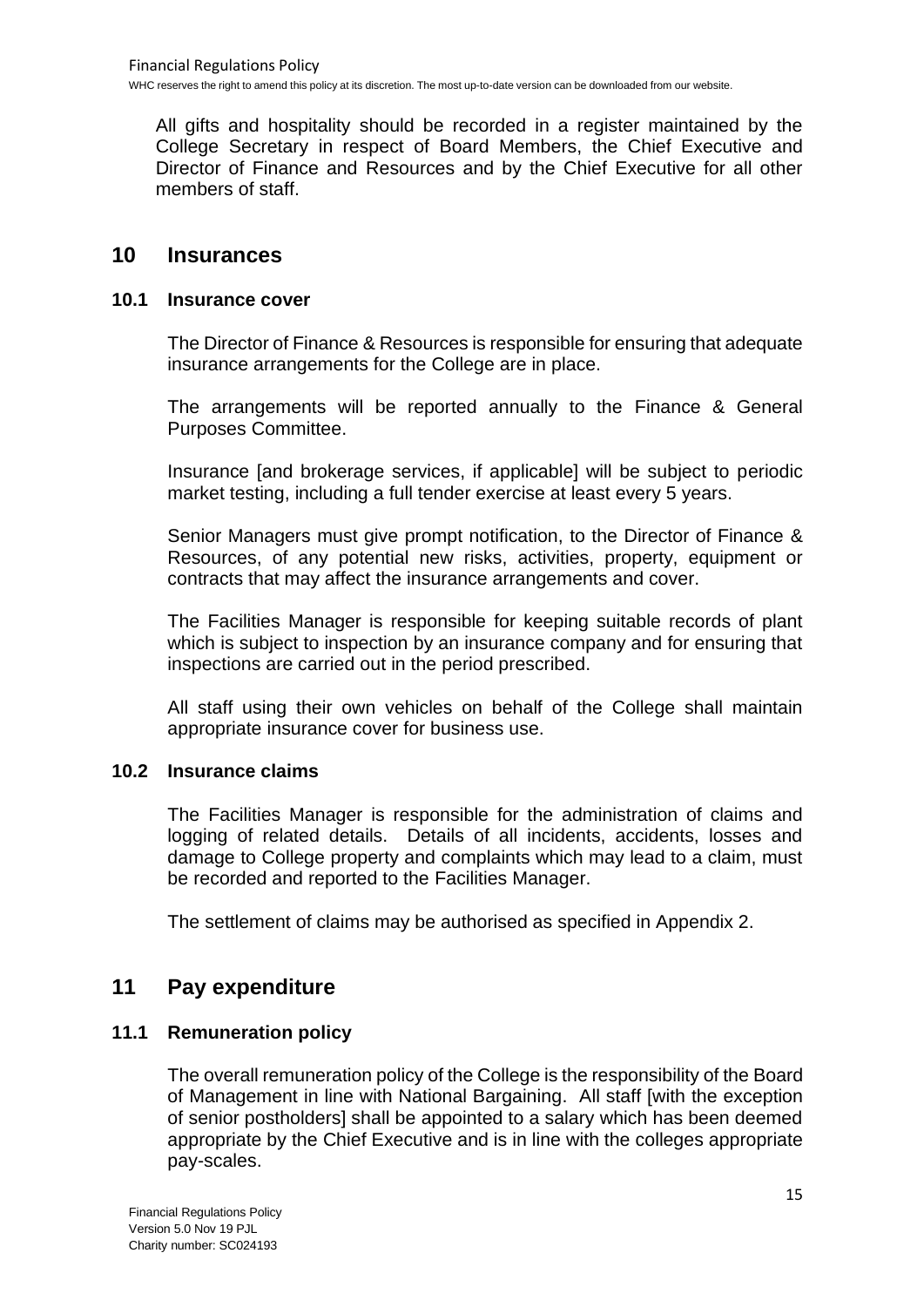All gifts and hospitality should be recorded in a register maintained by the College Secretary in respect of Board Members, the Chief Executive and Director of Finance and Resources and by the Chief Executive for all other members of staff.

## **10 Insurances**

## **10.1 Insurance cover**

The Director of Finance & Resources is responsible for ensuring that adequate insurance arrangements for the College are in place.

The arrangements will be reported annually to the Finance & General Purposes Committee.

Insurance [and brokerage services, if applicable] will be subject to periodic market testing, including a full tender exercise at least every 5 years.

Senior Managers must give prompt notification, to the Director of Finance & Resources, of any potential new risks, activities, property, equipment or contracts that may affect the insurance arrangements and cover.

The Facilities Manager is responsible for keeping suitable records of plant which is subject to inspection by an insurance company and for ensuring that inspections are carried out in the period prescribed.

All staff using their own vehicles on behalf of the College shall maintain appropriate insurance cover for business use.

## **10.2 Insurance claims**

The Facilities Manager is responsible for the administration of claims and logging of related details. Details of all incidents, accidents, losses and damage to College property and complaints which may lead to a claim, must be recorded and reported to the Facilities Manager.

The settlement of claims may be authorised as specified in Appendix 2.

## **11 Pay expenditure**

## **11.1 Remuneration policy**

The overall remuneration policy of the College is the responsibility of the Board of Management in line with National Bargaining. All staff [with the exception of senior postholders] shall be appointed to a salary which has been deemed appropriate by the Chief Executive and is in line with the colleges appropriate pay-scales.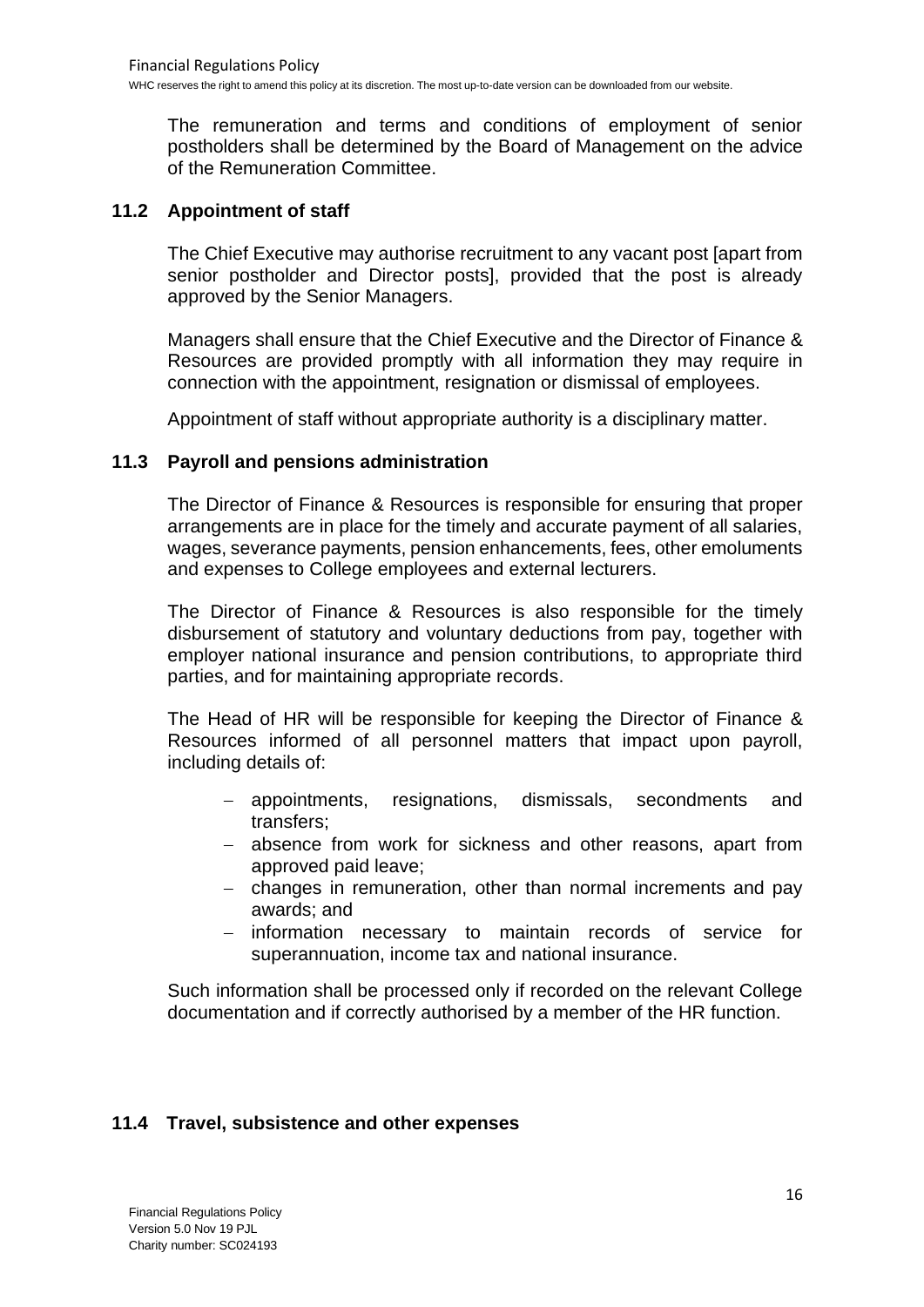The remuneration and terms and conditions of employment of senior postholders shall be determined by the Board of Management on the advice of the Remuneration Committee.

## **11.2 Appointment of staff**

The Chief Executive may authorise recruitment to any vacant post [apart from senior postholder and Director posts], provided that the post is already approved by the Senior Managers.

Managers shall ensure that the Chief Executive and the Director of Finance & Resources are provided promptly with all information they may require in connection with the appointment, resignation or dismissal of employees.

Appointment of staff without appropriate authority is a disciplinary matter.

## **11.3 Payroll and pensions administration**

The Director of Finance & Resources is responsible for ensuring that proper arrangements are in place for the timely and accurate payment of all salaries, wages, severance payments, pension enhancements, fees, other emoluments and expenses to College employees and external lecturers.

The Director of Finance & Resources is also responsible for the timely disbursement of statutory and voluntary deductions from pay, together with employer national insurance and pension contributions, to appropriate third parties, and for maintaining appropriate records.

The Head of HR will be responsible for keeping the Director of Finance & Resources informed of all personnel matters that impact upon payroll, including details of:

- − appointments, resignations, dismissals, secondments and transfers;
- − absence from work for sickness and other reasons, apart from approved paid leave;
- − changes in remuneration, other than normal increments and pay awards; and
- − information necessary to maintain records of service for superannuation, income tax and national insurance.

Such information shall be processed only if recorded on the relevant College documentation and if correctly authorised by a member of the HR function.

## **11.4 Travel, subsistence and other expenses**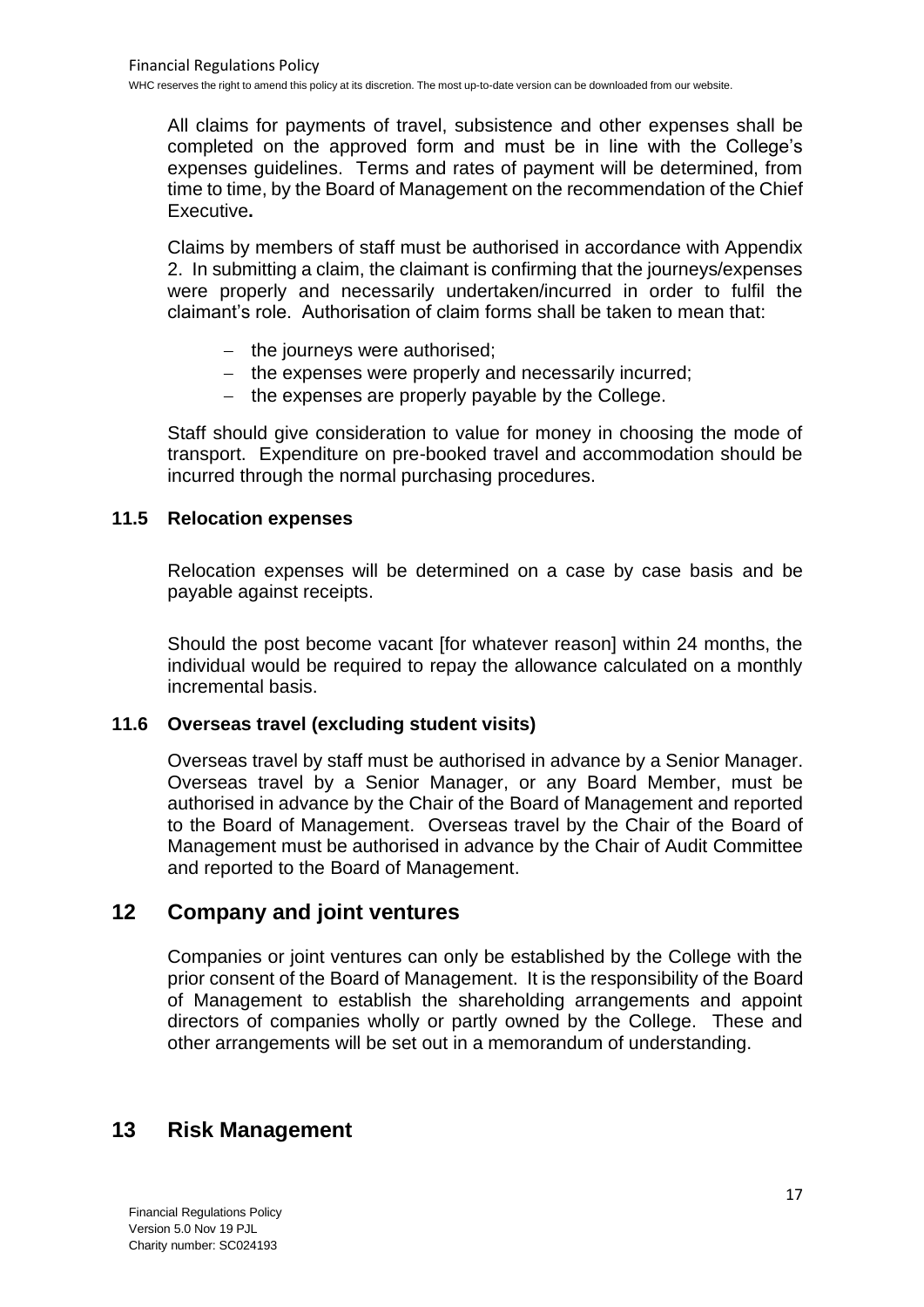All claims for payments of travel, subsistence and other expenses shall be completed on the approved form and must be in line with the College's expenses guidelines. Terms and rates of payment will be determined, from time to time, by the Board of Management on the recommendation of the Chief Executive**.**

Claims by members of staff must be authorised in accordance with Appendix 2. In submitting a claim, the claimant is confirming that the journeys/expenses were properly and necessarily undertaken/incurred in order to fulfil the claimant's role. Authorisation of claim forms shall be taken to mean that:

- − the journeys were authorised;
- − the expenses were properly and necessarily incurred;
- − the expenses are properly payable by the College.

Staff should give consideration to value for money in choosing the mode of transport. Expenditure on pre-booked travel and accommodation should be incurred through the normal purchasing procedures.

## **11.5 Relocation expenses**

Relocation expenses will be determined on a case by case basis and be payable against receipts.

Should the post become vacant [for whatever reason] within 24 months, the individual would be required to repay the allowance calculated on a monthly incremental basis.

## **11.6 Overseas travel (excluding student visits)**

Overseas travel by staff must be authorised in advance by a Senior Manager. Overseas travel by a Senior Manager, or any Board Member, must be authorised in advance by the Chair of the Board of Management and reported to the Board of Management. Overseas travel by the Chair of the Board of Management must be authorised in advance by the Chair of Audit Committee and reported to the Board of Management.

## **12 Company and joint ventures**

Companies or joint ventures can only be established by the College with the prior consent of the Board of Management. It is the responsibility of the Board of Management to establish the shareholding arrangements and appoint directors of companies wholly or partly owned by the College. These and other arrangements will be set out in a memorandum of understanding.

## **13 Risk Management**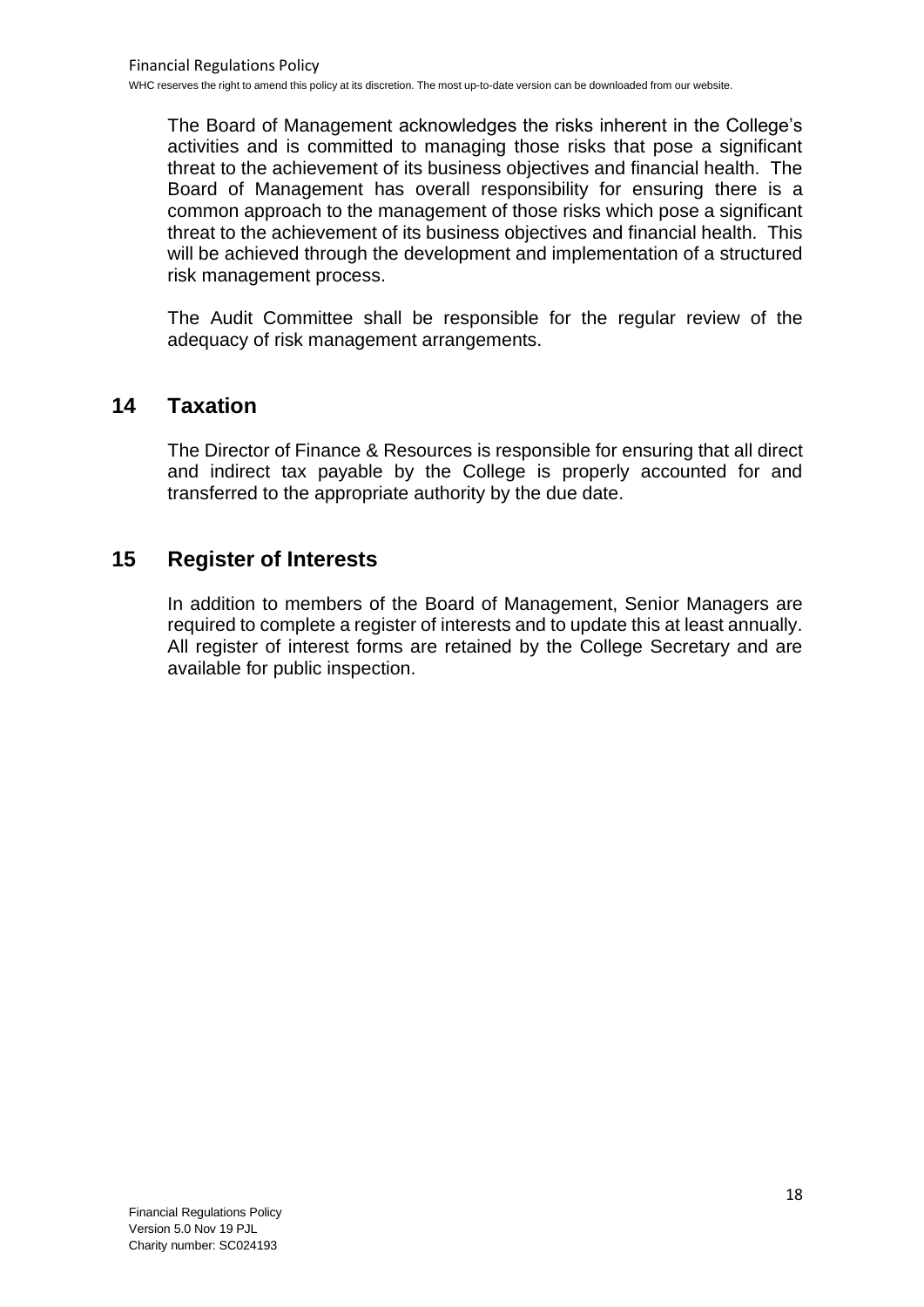The Board of Management acknowledges the risks inherent in the College's activities and is committed to managing those risks that pose a significant threat to the achievement of its business objectives and financial health. The Board of Management has overall responsibility for ensuring there is a common approach to the management of those risks which pose a significant threat to the achievement of its business objectives and financial health. This will be achieved through the development and implementation of a structured risk management process.

The Audit Committee shall be responsible for the regular review of the adequacy of risk management arrangements.

## **14 Taxation**

The Director of Finance & Resources is responsible for ensuring that all direct and indirect tax payable by the College is properly accounted for and transferred to the appropriate authority by the due date.

## **15 Register of Interests**

In addition to members of the Board of Management, Senior Managers are required to complete a register of interests and to update this at least annually. All register of interest forms are retained by the College Secretary and are available for public inspection.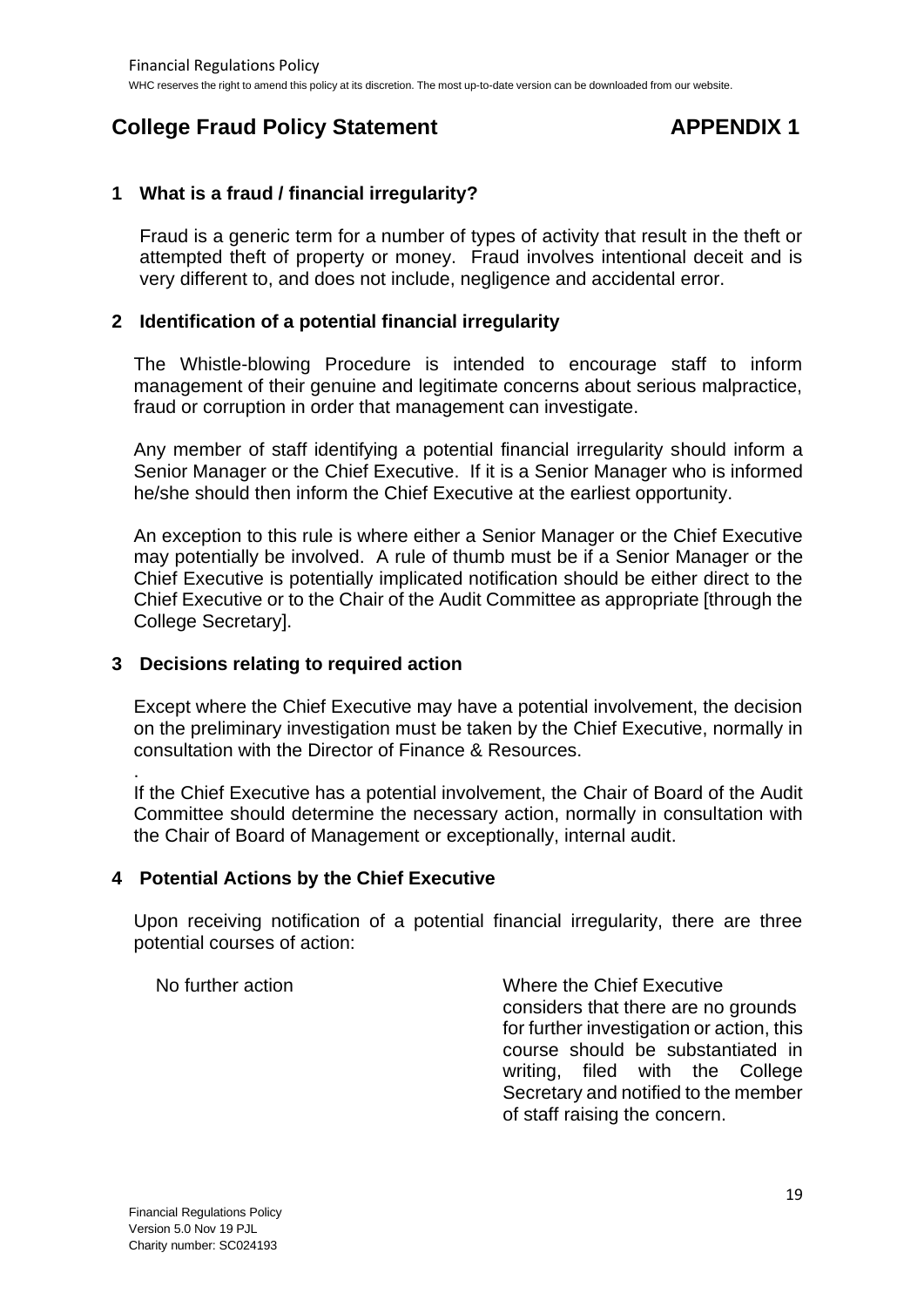## **College Fraud Policy Statement APPENDIX 1**

## **1 What is a fraud / financial irregularity?**

Fraud is a generic term for a number of types of activity that result in the theft or attempted theft of property or money. Fraud involves intentional deceit and is very different to, and does not include, negligence and accidental error.

## **2 Identification of a potential financial irregularity**

The Whistle-blowing Procedure is intended to encourage staff to inform management of their genuine and legitimate concerns about serious malpractice, fraud or corruption in order that management can investigate.

Any member of staff identifying a potential financial irregularity should inform a Senior Manager or the Chief Executive. If it is a Senior Manager who is informed he/she should then inform the Chief Executive at the earliest opportunity.

An exception to this rule is where either a Senior Manager or the Chief Executive may potentially be involved. A rule of thumb must be if a Senior Manager or the Chief Executive is potentially implicated notification should be either direct to the Chief Executive or to the Chair of the Audit Committee as appropriate [through the College Secretary].

## **3 Decisions relating to required action**

Except where the Chief Executive may have a potential involvement, the decision on the preliminary investigation must be taken by the Chief Executive, normally in consultation with the Director of Finance & Resources.

. If the Chief Executive has a potential involvement, the Chair of Board of the Audit Committee should determine the necessary action, normally in consultation with the Chair of Board of Management or exceptionally, internal audit.

## **4 Potential Actions by the Chief Executive**

Upon receiving notification of a potential financial irregularity, there are three potential courses of action:

No further action Where the Chief Executive considers that there are no grounds for further investigation or action, this course should be substantiated in writing, filed with the College Secretary and notified to the member of staff raising the concern.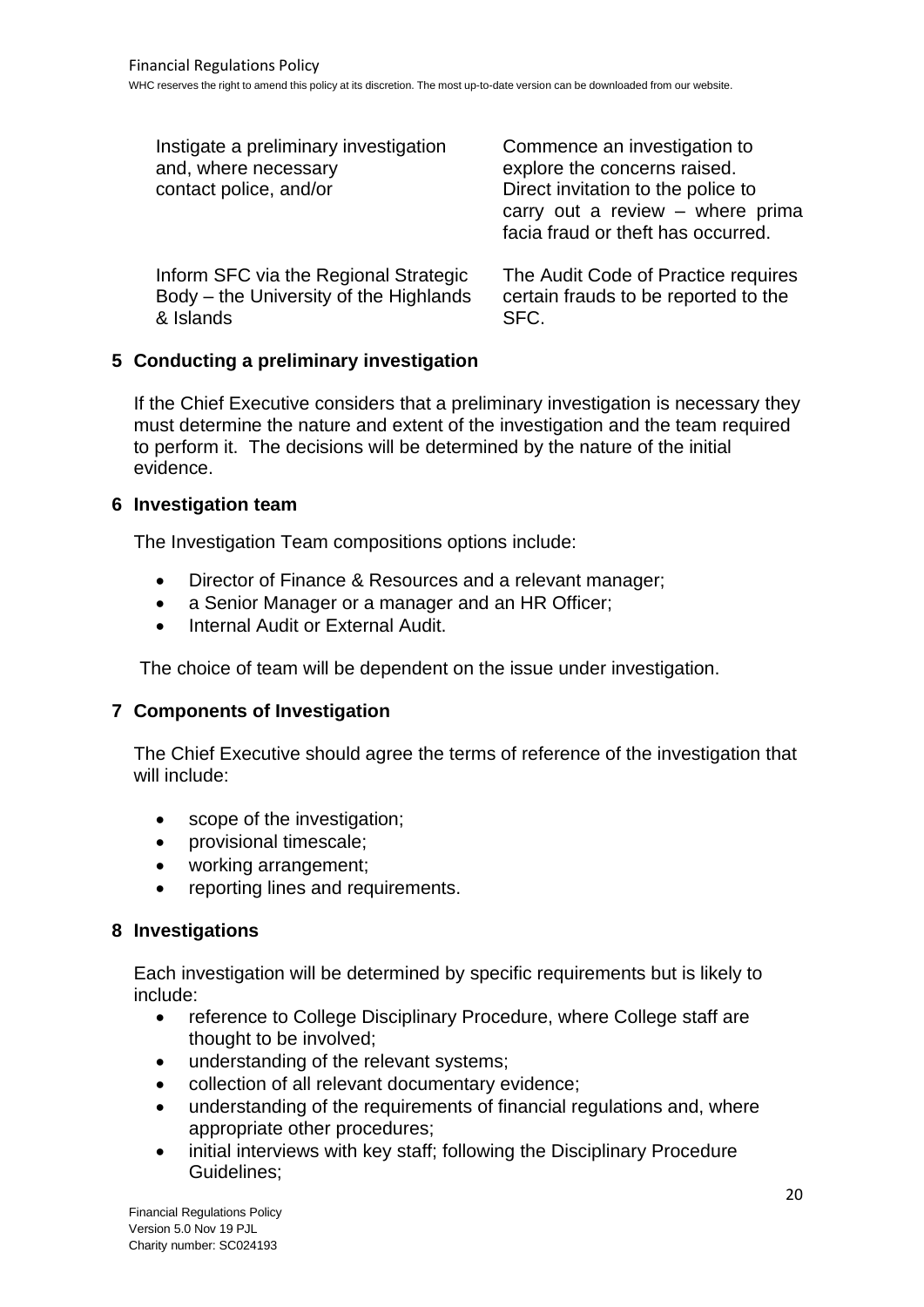| Instigate a preliminary investigation<br>and, where necessary<br>contact police, and/or | Commence an investigation to<br>explore the concerns raised.<br>Direct invitation to the police to<br>carry out a review $-$ where prima<br>facia fraud or theft has occurred. |
|-----------------------------------------------------------------------------------------|--------------------------------------------------------------------------------------------------------------------------------------------------------------------------------|
| Inform SFC via the Regional Strategic                                                   | The Audit Code of Practice requires                                                                                                                                            |
| Body - the University of the Highlands                                                  | certain frauds to be reported to the                                                                                                                                           |
| & Islands                                                                               | SFC.                                                                                                                                                                           |

## **5 Conducting a preliminary investigation**

If the Chief Executive considers that a preliminary investigation is necessary they must determine the nature and extent of the investigation and the team required to perform it. The decisions will be determined by the nature of the initial evidence.

## **6 Investigation team**

The Investigation Team compositions options include:

- Director of Finance & Resources and a relevant manager;
- a Senior Manager or a manager and an HR Officer;
- Internal Audit or External Audit.

The choice of team will be dependent on the issue under investigation.

## **7 Components of Investigation**

The Chief Executive should agree the terms of reference of the investigation that will include:

- scope of the investigation;
- provisional timescale;
- working arrangement;
- reporting lines and requirements.

## **8 Investigations**

Each investigation will be determined by specific requirements but is likely to include:

- reference to College Disciplinary Procedure, where College staff are thought to be involved;
- understanding of the relevant systems;
- collection of all relevant documentary evidence;
- understanding of the requirements of financial regulations and, where appropriate other procedures;
- initial interviews with key staff: following the Disciplinary Procedure Guidelines;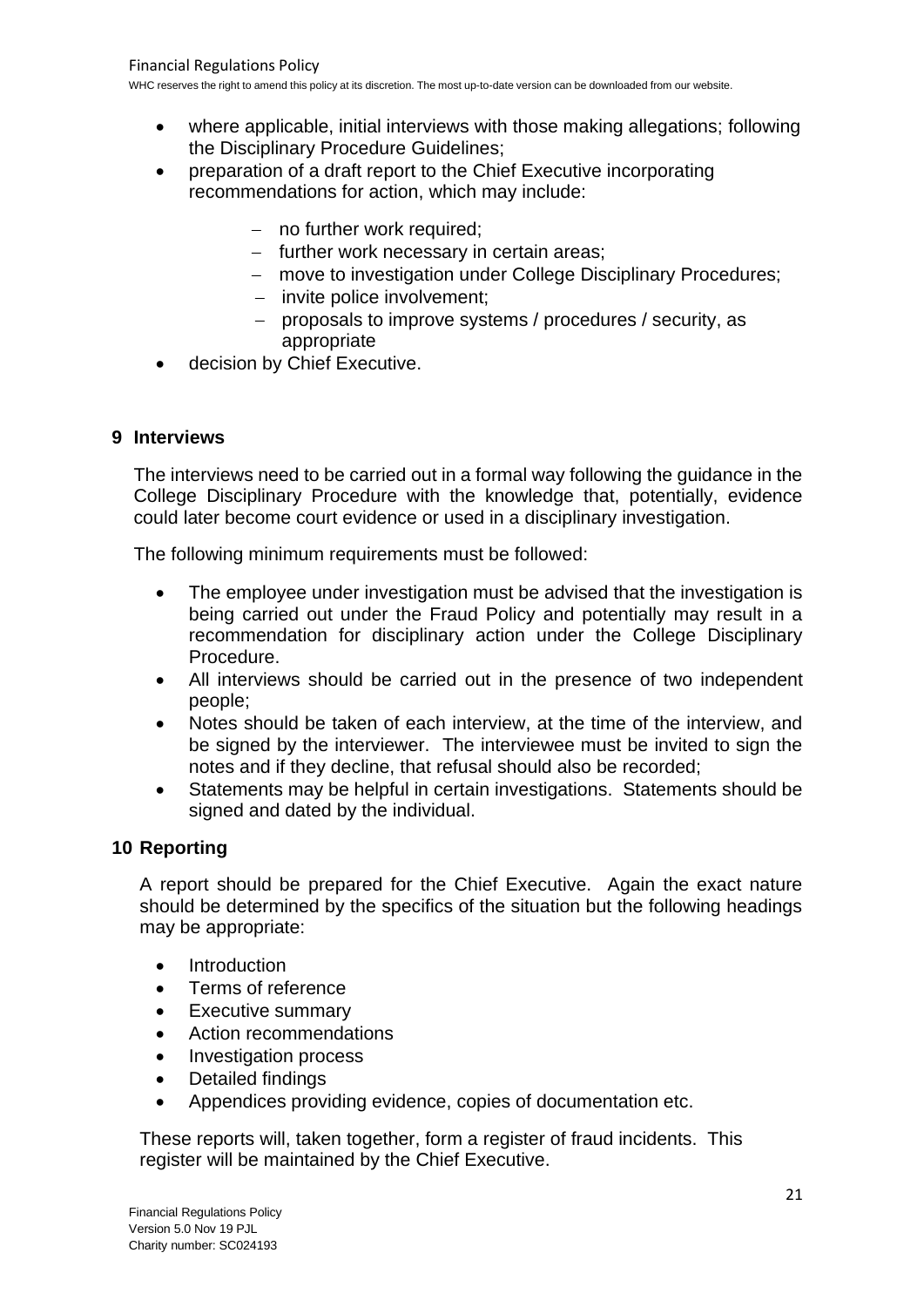- where applicable, initial interviews with those making allegations; following the Disciplinary Procedure Guidelines;
- preparation of a draft report to the Chief Executive incorporating recommendations for action, which may include:
	- − no further work required;
	- − further work necessary in certain areas;
	- − move to investigation under College Disciplinary Procedures;
	- − invite police involvement;
	- − proposals to improve systems / procedures / security, as appropriate
- decision by Chief Executive.

## **9 Interviews**

The interviews need to be carried out in a formal way following the guidance in the College Disciplinary Procedure with the knowledge that, potentially, evidence could later become court evidence or used in a disciplinary investigation.

The following minimum requirements must be followed:

- The employee under investigation must be advised that the investigation is being carried out under the Fraud Policy and potentially may result in a recommendation for disciplinary action under the College Disciplinary Procedure.
- All interviews should be carried out in the presence of two independent people;
- Notes should be taken of each interview, at the time of the interview, and be signed by the interviewer. The interviewee must be invited to sign the notes and if they decline, that refusal should also be recorded;
- Statements may be helpful in certain investigations. Statements should be signed and dated by the individual.

## **10 Reporting**

A report should be prepared for the Chief Executive. Again the exact nature should be determined by the specifics of the situation but the following headings may be appropriate:

- **Introduction**
- Terms of reference
- **Executive summary**
- Action recommendations
- Investigation process
- Detailed findings
- Appendices providing evidence, copies of documentation etc.

These reports will, taken together, form a register of fraud incidents. This register will be maintained by the Chief Executive.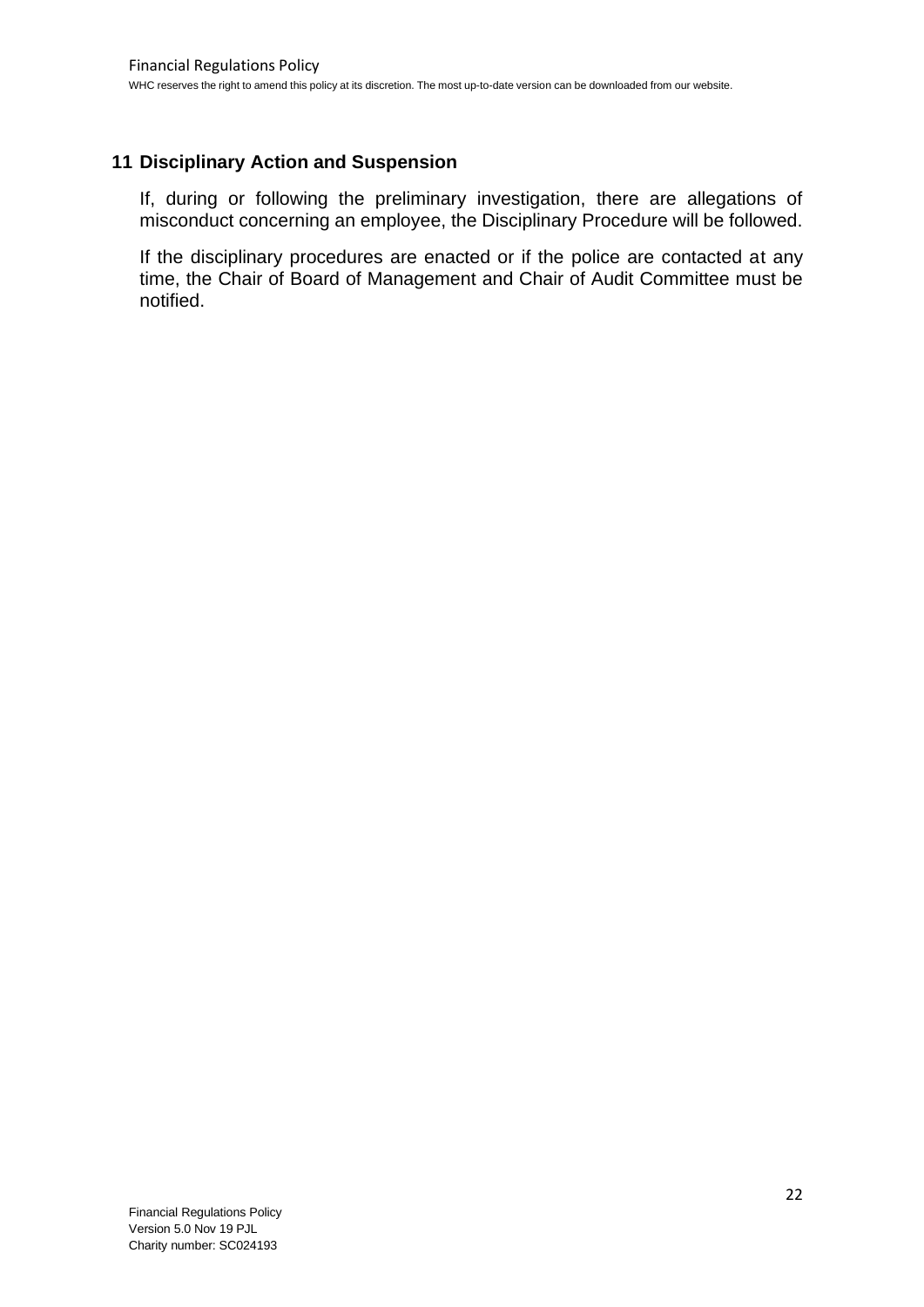## **11 Disciplinary Action and Suspension**

If, during or following the preliminary investigation, there are allegations of misconduct concerning an employee, the Disciplinary Procedure will be followed.

If the disciplinary procedures are enacted or if the police are contacted at any time, the Chair of Board of Management and Chair of Audit Committee must be notified.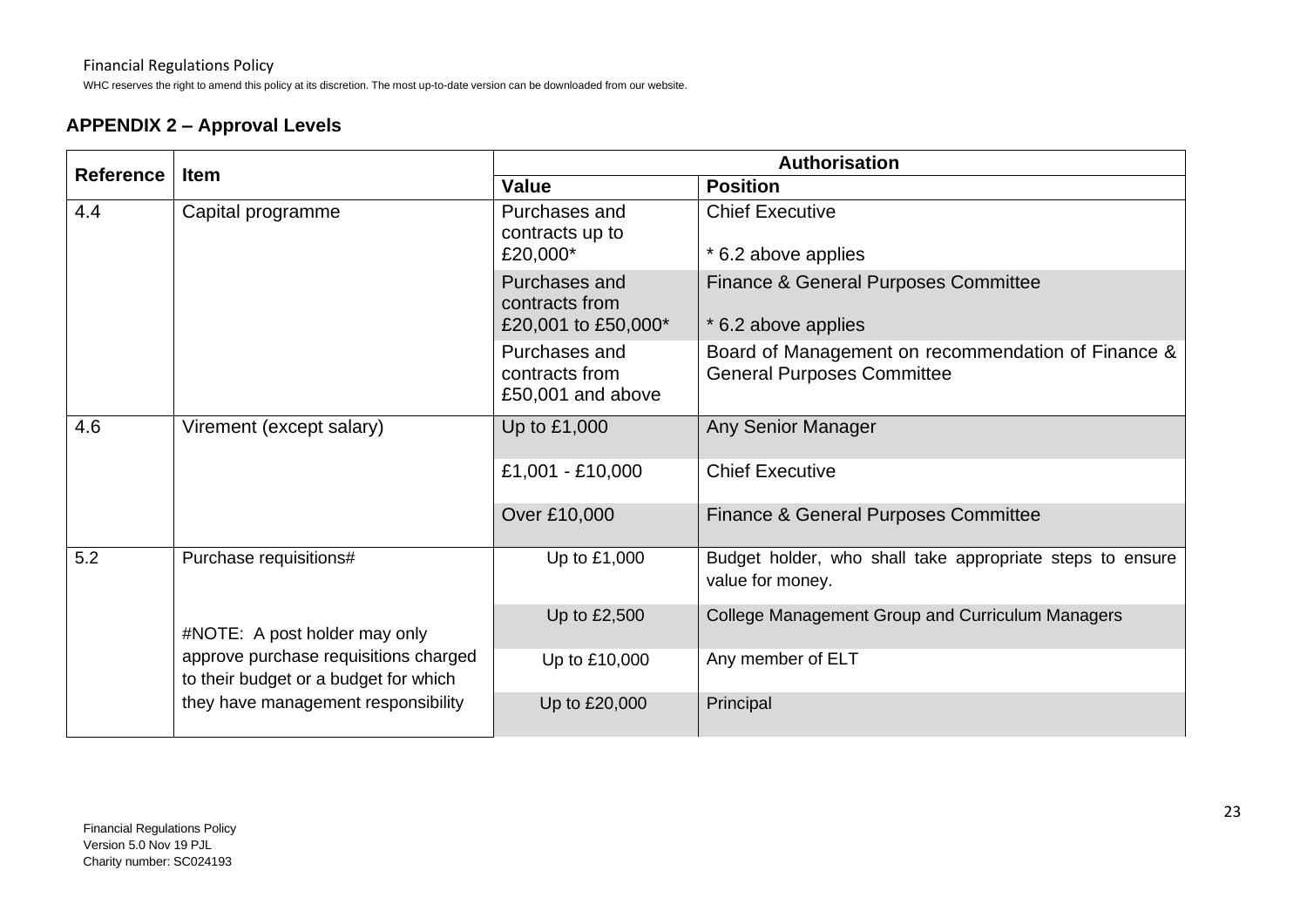WHC reserves the right to amend this policy at its discretion. The most up-to-date version can be downloaded from our website.

## **APPENDIX 2 – Approval Levels**

| <b>Reference</b>                                                                                                                                       | <b>Item</b>              | <b>Authorisation</b>                                   |                                                                                         |  |
|--------------------------------------------------------------------------------------------------------------------------------------------------------|--------------------------|--------------------------------------------------------|-----------------------------------------------------------------------------------------|--|
|                                                                                                                                                        |                          | Value                                                  | <b>Position</b>                                                                         |  |
| 4.4                                                                                                                                                    | Capital programme        | Purchases and<br>contracts up to<br>£20,000*           | <b>Chief Executive</b><br>* 6.2 above applies                                           |  |
|                                                                                                                                                        |                          | Purchases and<br>contracts from<br>£20,001 to £50,000* | <b>Finance &amp; General Purposes Committee</b><br>* 6.2 above applies                  |  |
|                                                                                                                                                        |                          | Purchases and<br>contracts from<br>£50,001 and above   | Board of Management on recommendation of Finance &<br><b>General Purposes Committee</b> |  |
| 4.6                                                                                                                                                    | Virement (except salary) | Up to £1,000                                           | <b>Any Senior Manager</b>                                                               |  |
|                                                                                                                                                        |                          | £1,001 - £10,000                                       | <b>Chief Executive</b>                                                                  |  |
|                                                                                                                                                        |                          | Over £10,000                                           | <b>Finance &amp; General Purposes Committee</b>                                         |  |
| 5.2                                                                                                                                                    | Purchase requisitions#   | Up to £1,000                                           | Budget holder, who shall take appropriate steps to ensure<br>value for money.           |  |
| #NOTE: A post holder may only<br>approve purchase requisitions charged<br>to their budget or a budget for which<br>they have management responsibility |                          | Up to £2,500                                           | College Management Group and Curriculum Managers                                        |  |
|                                                                                                                                                        |                          | Up to £10,000                                          | Any member of ELT                                                                       |  |
|                                                                                                                                                        | Up to £20,000            | Principal                                              |                                                                                         |  |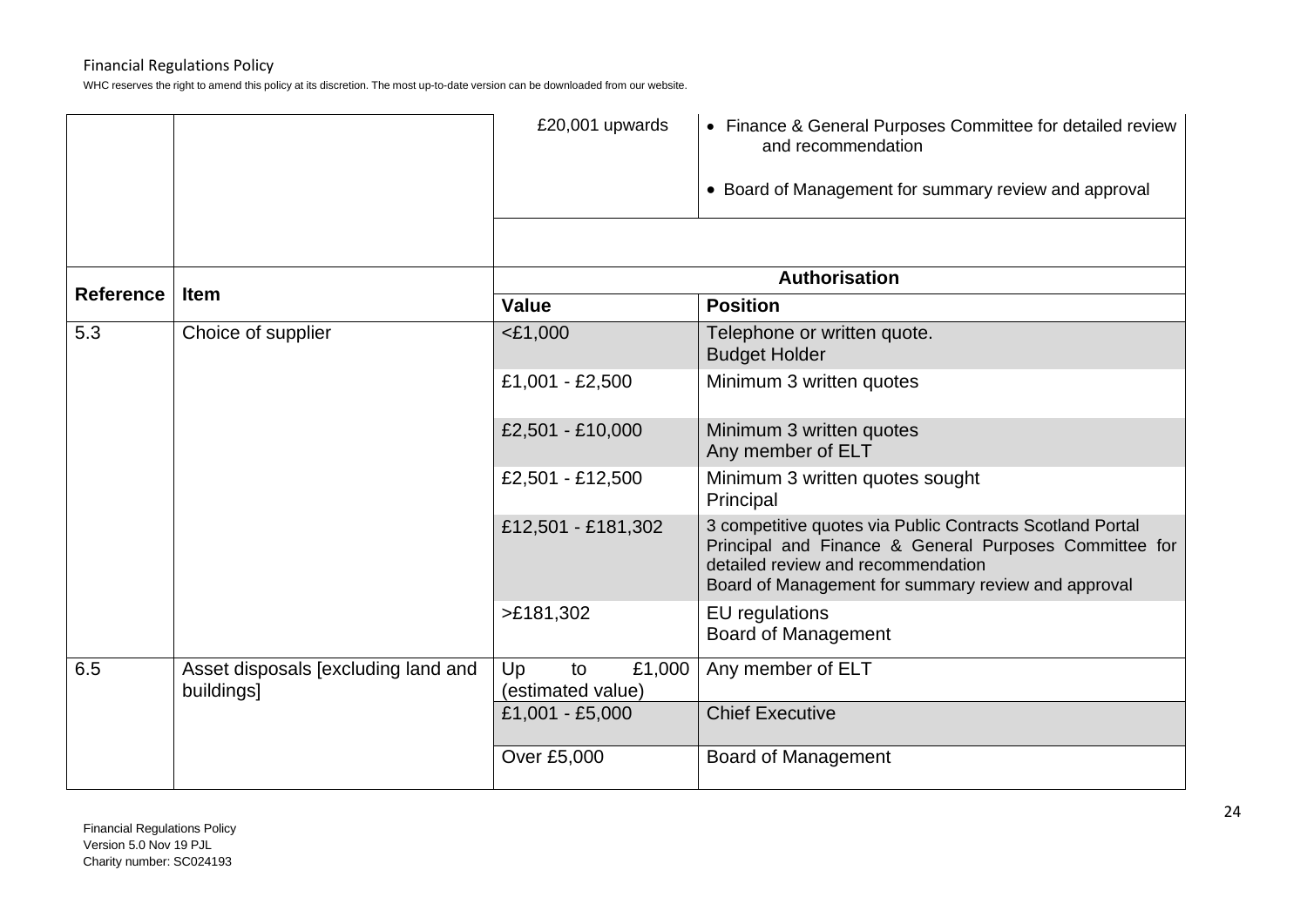|                  |                                                   | £20,001 upwards                         | • Finance & General Purposes Committee for detailed review<br>and recommendation                                                                                                                                 |  |
|------------------|---------------------------------------------------|-----------------------------------------|------------------------------------------------------------------------------------------------------------------------------------------------------------------------------------------------------------------|--|
|                  |                                                   |                                         | • Board of Management for summary review and approval                                                                                                                                                            |  |
|                  |                                                   |                                         |                                                                                                                                                                                                                  |  |
| <b>Reference</b> |                                                   | <b>Authorisation</b>                    |                                                                                                                                                                                                                  |  |
|                  | <b>Item</b>                                       | <b>Value</b>                            | <b>Position</b>                                                                                                                                                                                                  |  |
| 5.3              | Choice of supplier                                | $<$ £1,000                              | Telephone or written quote.<br><b>Budget Holder</b>                                                                                                                                                              |  |
|                  |                                                   | £1,001 - £2,500                         | Minimum 3 written quotes                                                                                                                                                                                         |  |
|                  |                                                   | £2,501 - £10,000                        | Minimum 3 written quotes<br>Any member of ELT                                                                                                                                                                    |  |
|                  |                                                   | £2,501 - £12,500                        | Minimum 3 written quotes sought<br>Principal                                                                                                                                                                     |  |
|                  |                                                   | £12,501 - £181,302                      | 3 competitive quotes via Public Contracts Scotland Portal<br>Principal and Finance & General Purposes Committee for<br>detailed review and recommendation<br>Board of Management for summary review and approval |  |
|                  |                                                   | >E181,302                               | EU regulations<br><b>Board of Management</b>                                                                                                                                                                     |  |
| 6.5              | Asset disposals [excluding land and<br>buildings] | £1,000<br>Up<br>to<br>(estimated value) | Any member of ELT                                                                                                                                                                                                |  |
|                  |                                                   | £1,001 - £5,000                         | <b>Chief Executive</b>                                                                                                                                                                                           |  |
|                  |                                                   | Over £5,000                             | <b>Board of Management</b>                                                                                                                                                                                       |  |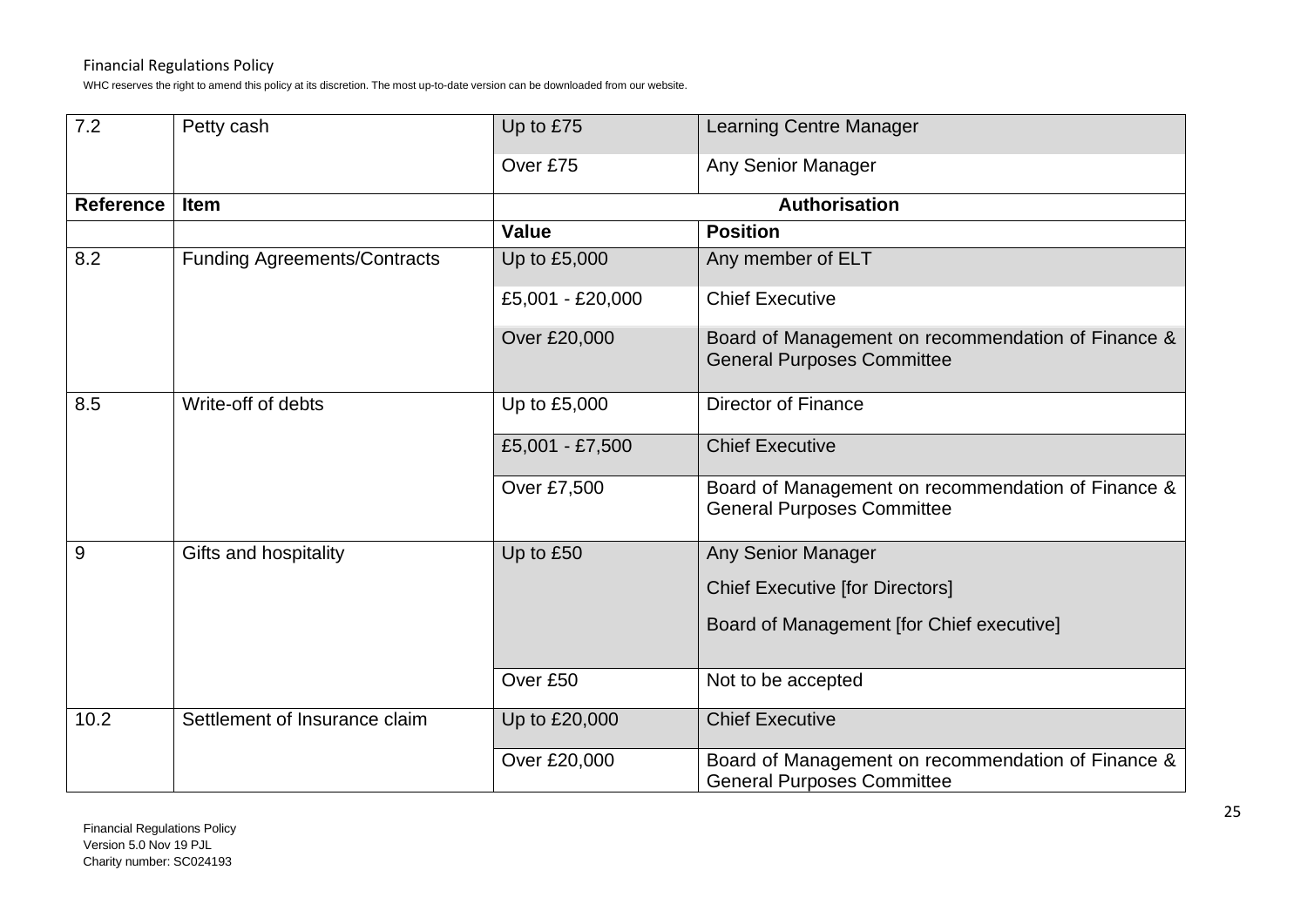| 7.2              | Petty cash                          | Up to £75            | <b>Learning Centre Manager</b>                                                          |
|------------------|-------------------------------------|----------------------|-----------------------------------------------------------------------------------------|
|                  |                                     | Over £75             | Any Senior Manager                                                                      |
| <b>Reference</b> | <b>Item</b>                         | <b>Authorisation</b> |                                                                                         |
|                  |                                     | <b>Value</b>         | <b>Position</b>                                                                         |
| 8.2              | <b>Funding Agreements/Contracts</b> | Up to £5,000         | Any member of ELT                                                                       |
|                  |                                     | £5,001 - £20,000     | <b>Chief Executive</b>                                                                  |
|                  |                                     | Over £20,000         | Board of Management on recommendation of Finance &<br><b>General Purposes Committee</b> |
| 8.5              | Write-off of debts                  | Up to £5,000         | <b>Director of Finance</b>                                                              |
|                  |                                     | £5,001 - £7,500      | <b>Chief Executive</b>                                                                  |
|                  |                                     | Over £7,500          | Board of Management on recommendation of Finance &<br><b>General Purposes Committee</b> |
| 9                | Gifts and hospitality               | Up to £50            | Any Senior Manager                                                                      |
|                  |                                     |                      | <b>Chief Executive [for Directors]</b>                                                  |
|                  |                                     |                      | Board of Management [for Chief executive]                                               |
|                  |                                     | Over £50             | Not to be accepted                                                                      |
| 10.2             | Settlement of Insurance claim       | Up to £20,000        | <b>Chief Executive</b>                                                                  |
|                  |                                     | Over £20,000         | Board of Management on recommendation of Finance &<br><b>General Purposes Committee</b> |